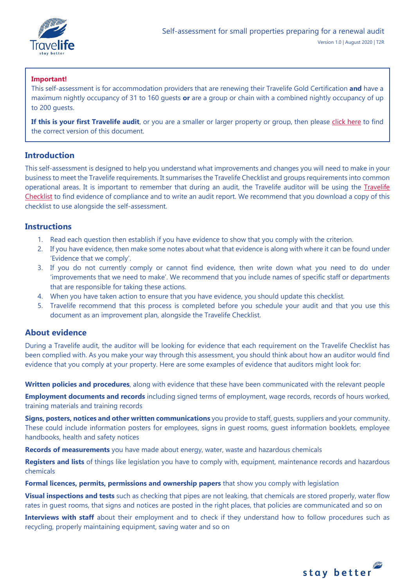

# **Important!**

This self-assessment is for accommodation providers that are renewing their Travelife Gold Certification **and** have a maximum nightly occupancy of 31 to 160 guests **or** are a group or chain with a combined nightly occupancy of up to 200 guests.

If this is your first Travelife audit, or you are a smaller or larger property or group, then please [click here](https://travelifestaybetter.com/your-audit/) to find the correct version of this document.

# **Introduction**

This self-assessment is designed to help you understand what improvements and changes you will need to make in your business to meet the Travelife requirements. It summarises the Travelife Checklist and groups requirements into common operational areas. It is important to remember that during an audit, the Travelife auditor will be using the [Travelife](https://travelifestaybetter.com/travelife-standard-checklists/)  [Checklist](https://travelifestaybetter.com/travelife-standard-checklists/) to find evidence of compliance and to write an audit report. We recommend that you download a copy of this checklist to use alongside the self-assessment.

## **Instructions**

- 1. Read each question then establish if you have evidence to show that you comply with the criterion.
- 2. If you have evidence, then make some notes about what that evidence is along with where it can be found under 'Evidence that we comply'.
- 3. If you do not currently comply or cannot find evidence, then write down what you need to do under 'improvements that we need to make'. We recommend that you include names of specific staff or departments that are responsible for taking these actions.
- 4. When you have taken action to ensure that you have evidence, you should update this checklist.
- 5. Travelife recommend that this process is completed before you schedule your audit and that you use this document as an improvement plan, alongside the Travelife Checklist.

# **About evidence**

During a Travelife audit, the auditor will be looking for evidence that each requirement on the Travelife Checklist has been complied with. As you make your way through this assessment, you should think about how an auditor would find evidence that you comply at your property. Here are some examples of evidence that auditors might look for:

**Written policies and procedures**, along with evidence that these have been communicated with the relevant people

**Employment documents and records** including signed terms of employment, wage records, records of hours worked, training materials and training records

**Signs, posters, notices and other written communications** you provide to staff, guests, suppliers and your community. These could include information posters for employees, signs in guest rooms, guest information booklets, employee handbooks, health and safety notices

**Records of measurements** you have made about energy, water, waste and hazardous chemicals

**Registers and lists** of things like legislation you have to comply with, equipment, maintenance records and hazardous chemicals

**Formal licences, permits, permissions and ownership papers** that show you comply with legislation

**Visual inspections and tests** such as checking that pipes are not leaking, that chemicals are stored properly, water flow rates in guest rooms, that signs and notices are posted in the right places, that policies are communicated and so on

**Interviews with staff** about their employment and to check if they understand how to follow procedures such as recycling, properly maintaining equipment, saving water and so on

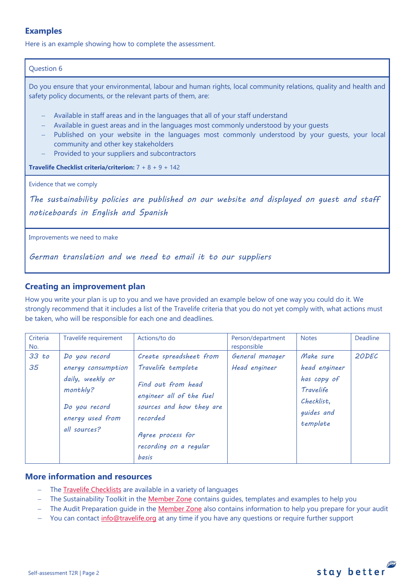# **Examples**

Here is an example showing how to complete the assessment.

## Question 6

Do you ensure that your environmental, labour and human rights, local community relations, quality and health and safety policy documents, or the relevant parts of them, are:

- − Available in staff areas and in the languages that all of your staff understand
- − Available in quest areas and in the languages most commonly understood by your quests
- − Published on your website in the languages most commonly understood by your guests, your local community and other key stakeholders
- Provided to your suppliers and subcontractors

**Travelife Checklist criteria/criterion:** 7 + 8 + 9 + 142

Evidence that we comply

*The sustainability policies are published on our website and displayed on guest and staff noticeboards in English and Spanish* 

Improvements we need to make

*German translation and we need to email it to our suppliers*

# **Creating an improvement plan**

How you write your plan is up to you and we have provided an example below of one way you could do it. We strongly recommend that it includes a list of the Travelife criteria that you do not yet comply with, what actions must be taken, who will be responsible for each one and deadlines.

| Criteria<br>No. | Travelife requirement                                                                                                    | Actions/to do                                                                                                                                                | Person/department<br>responsible | <b>Notes</b>                                                                                   | Deadline |
|-----------------|--------------------------------------------------------------------------------------------------------------------------|--------------------------------------------------------------------------------------------------------------------------------------------------------------|----------------------------------|------------------------------------------------------------------------------------------------|----------|
| 33 to<br>35     | Do you record<br>energy consumption<br>daily, weekly or<br>monthly?<br>Do you record<br>energy used from<br>all sources? | Create spreadsheet from<br>Travelife template<br>Find out from head<br>engineer all of the fuel<br>sources and how they are<br>recorded<br>Agree process for | General manager<br>Head engineer | Make sure<br>head engineer<br>has copy of<br>Travelife<br>Checklist.<br>guides and<br>template | 20DEC    |
|                 |                                                                                                                          | recording on a regular<br>basis                                                                                                                              |                                  |                                                                                                |          |

# **More information and resources**

- − The [Travelife Checklists](https://travelifestaybetter.com/travelife-standard-checklists/) are available in a variety of languages
- − The Sustainability Toolkit in the [Member Zone](https://travelifestaybetter.com/accommodation-member-zone/) contains guides, templates and examples to help you
- − The Audit Preparation guide in the [Member Zone](https://travelifestaybetter.com/accommodation-member-zone/) also contains information to help you prepare for your audit
- You can contact [info@travelife.org](mailto:info@travelife.org) at any time if you have any questions or require further support

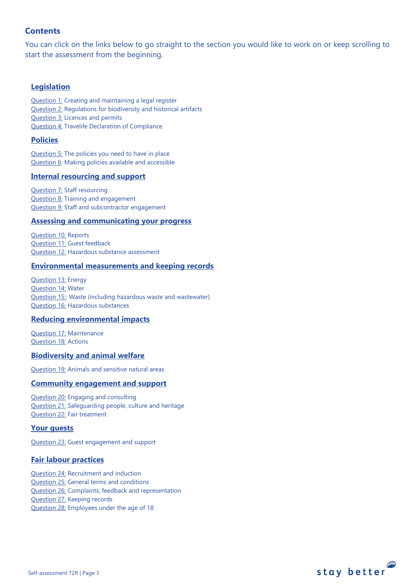# **Contents**

You can click on the links below to go straight to the section you would like to work on or keep scrolling to start the assessment from the beginning.

# **[Legislation](#page-3-0)**

[Question 1:](#page-3-1) Creating and maintaining a legal register [Question 2:](#page-3-2) Regulations for biodiversity and historical artifacts [Question 3:](#page-4-0) Licences and permits [Question 4:](#page-4-1) Travelife Declaration of Compliance

## **[Policies](#page-5-0)**

[Question 5:](#page-5-1) The policies you need to have in place [Question 6:](#page-8-0) Making policies available and accessible

## **[Internal resourcing and support](#page-8-1)**

[Question 7:](#page-9-0) Staff resourcing [Question 8:](#page-9-1) Training and engagement [Question 9:](#page-10-0) Staff and subcontractor engagement

### **[Assessing and communicating your progress](#page-10-0)**

[Question 10:](#page-11-0) Reports [Question 11:](#page-13-0) Guest feedback [Question 12:](#page-14-0) Hazardous substance assessment

### **[Environmental measurements and keeping records](#page-14-1)**

[Question 13:](#page-14-2) Energy [Question 14:](#page-15-0) Water [Question 15::](#page-16-0) Waste (including hazardous waste and wastewater) [Question 16:](#page-18-0) Hazardous substances

## **[Reducing environmental impacts](#page-21-0)**

[Question 17:](#page-20-0) Maintenance [Question 18:](#page-21-1) Actions

### **[Biodiversity and animal welfare](#page-24-0)**

[Question 19:](#page-23-0) Animals and sensitive natural areas

## **[Community engagement](#page-25-0) and support**

[Question 20:](#page-24-1) Engaging and consulting [Question 21:](#page-25-1) Safeguarding people, culture and heritage [Question 22:](#page-25-2) Fair treatment

## **[Your guests](#page-26-0)**

[Question 23:](#page-26-1) Guest engagement and support

## **[Fair labour practices](#page-28-0)**

[Question 24:](#page-28-1) Recruitment and induction [Question 25:](#page-28-1) General terms and conditions [Question 26:](#page-30-0) Complaints, feedback and representation [Question 27:](#page-31-0) Keeping records [Question 28:](#page-31-1) Employees under the age of 18

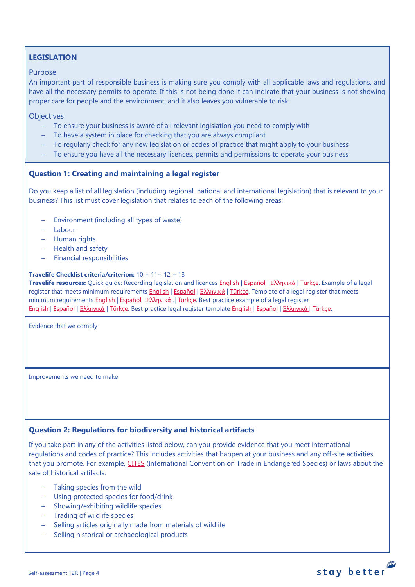# <span id="page-3-0"></span>**LEGISLATION**

### Purpose

An important part of responsible business is making sure you comply with all applicable laws and regulations, and have all the necessary permits to operate. If this is not being done it can indicate that your business is not showing proper care for people and the environment, and it also leaves you vulnerable to risk.

**Objectives** 

- − To ensure your business is aware of all relevant legislation you need to comply with
- − To have a system in place for checking that you are always compliant
- − To regularly check for any new legislation or codes of practice that might apply to your business
- − To ensure you have all the necessary licences, permits and permissions to operate your business

## <span id="page-3-1"></span>**Question 1: Creating and maintaining a legal register**

Do you keep a list of all legislation (including regional, national and international legislation) that is relevant to your business? This list must cover legislation that relates to each of the following areas:

- − Environment (including all types of waste)
- − Labour
- − Human rights
- − Health and safety
- − Financial responsibilities

### **Travelife Checklist criteria/criterion:** 10 + 11+ 12 + 13

**Travelife resources:** Quick guide: Recording legislation and licences [English](https://travelifestaybetter.com/wp-content/uploads/2019/02/1-Quick-Guide-Recording-Legislation-and-Licenses.pdf) | [Español](https://travelifestaybetter.com/wp-content/uploads/2019/02/1-ES-Quick-Guide-Recording-Legislation-and-Licenses.pdf) | Ελλ[ηνικά](https://travelifestaybetter.com/wp-content/uploads/2020/02/21-Quick-Guide-Recording-Legislation-and-Licenses-GR.pdf) | [Türkçe.](https://travelifestaybetter.com/wp-content/uploads/2020/12/1-Quick-Guide-Recording-Legislation-and-Licenses-TR-Hizli-Kilavuz-Mevzuat-ve-Lisanslarin-Kayit-Edilmesi.pdf) Example of a legal register that meets minimum requirements [English](https://travelifestaybetter.com/wp-content/uploads/2019/02/1-Example-Legal-Register-Minimum-Requirements.docx.pdf) | [Español](https://travelifestaybetter.com/wp-content/uploads/2019/02/1-ES-Example-Legal-Register.pdf) | Ελλ[ηνικά](https://travelifestaybetter.com/wp-content/uploads/2020/02/23-Example-Legal-Register-GR.pdf) | [Türkçe.](https://travelifestaybetter.com/wp-content/uploads/2020/12/1-Example-Legal-Register-TR-Ornek-Yasal-Kayit.pdf) Template of a legal register that meets minimum requirements [English](https://travelifestaybetter.com/wp-content/uploads/2019/02/1-Template-Legal-Register-Minimum-Requirements.docx) | Εspañol | Ελλ[ηνικά](https://travelifestaybetter.com/wp-content/uploads/2020/02/22-Template-Legal-Register-Minimum-Requirements-GR.docx) .| [Türkçe.](https://travelifestaybetter.com/wp-content/uploads/2020/12/1-Template-Legal-Register-Minimum-Requirements-TR-Sablon-Yasal-Kayit-Minimum-Gereksinimler.docx) Best practice example of a legal register [English](https://travelifestaybetter.com/wp-content/uploads/2020/12/1-Example-Legal-Register-Excellence-V1.1.pdf) | [Español](https://travelifestaybetter.com/wp-content/uploads/2020/12/1-ES-Example-Legal-Register-Excellence-V1.1.pdf) | Ελλ[ηνικά](https://travelifestaybetter.com/wp-content/uploads/2020/12/1-Example-Legal-Register-Excellence-V1.1-GR.pdf) | [Türkçe.](https://travelifestaybetter.com/wp-content/uploads/2020/12/1-Example-Legal-Register-Excellence-TR-Ornek-Yasal-Kayit-En-iyi-Uygulama.pdf) Best practice legal register template [English](https://travelifestaybetter.com/wp-content/uploads/2019/02/1-Template-Legal-Register-Best-Practice.docx) | [Español](https://travelifestaybetter.com/wp-content/uploads/2019/02/1-ES-Template-Legal-Register-Best-Practice.docx) | Ελλ[ηνικά](https://travelifestaybetter.com/wp-content/uploads/2020/02/24-Template-Legal-Register-Best-Practice-GR.docx) | [Türkçe.](https://travelifestaybetter.com/wp-content/uploads/2020/12/1-Template-Legal-Register-Best-Practice-TR-Sablon-Yasal-Kayit-En-Iyi-Uygulama.docx)

Evidence that we comply

Improvements we need to make

## <span id="page-3-2"></span>**Question 2: Regulations for biodiversity and historical artifacts**

If you take part in any of the activities listed below, can you provide evidence that you meet international regulations and codes of practice? This includes activities that happen at your business and any off-site activities that you promote. For example, [CITES](https://cites.org/) (International Convention on Trade in Endangered Species) or laws about the sale of historical artifacts.

- Taking species from the wild
- − Using protected species for food/drink
- − Showing/exhibiting wildlife species
- − Trading of wildlife species
- − Selling articles originally made from materials of wildlife
- − Selling historical or archaeological products

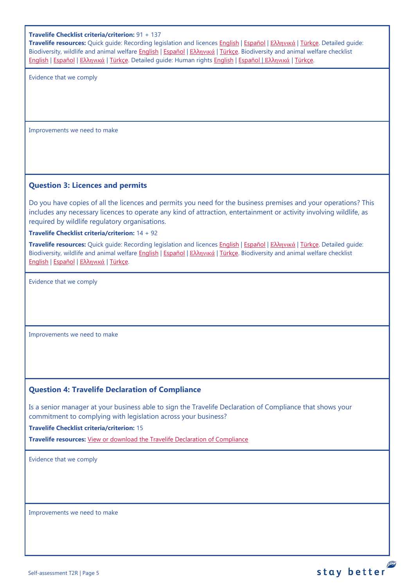### **Travelife Checklist criteria/criterion:** 91 + 137

**Travelife resources:** Quick guide: Recording legislation and licences [English](https://travelifestaybetter.com/wp-content/uploads/2019/02/1-Quick-Guide-Recording-Legislation-and-Licenses.pdf) | [Español](https://travelifestaybetter.com/wp-content/uploads/2019/02/1-ES-Quick-Guide-Recording-Legislation-and-Licenses.pdf) | Ελλ[ηνικά](https://travelifestaybetter.com/wp-content/uploads/2020/02/21-Quick-Guide-Recording-Legislation-and-Licenses-GR.pdf) | [Türkçe.](https://travelifestaybetter.com/wp-content/uploads/2020/12/1-Quick-Guide-Recording-Legislation-and-Licenses-TR-Hizli-Kilavuz-Mevzuat-ve-Lisanslarin-Kayit-Edilmesi.pdf) Detailed guide: Biodiversity, wildlife and animal welfare [English](https://travelifestaybetter.com/wp-content/uploads/2021/01/21-Detailed-Guided-Biodiversity-and-Animal-Welfare-V2.0.pdf) | [Español](https://travelifestaybetter.com/wp-content/uploads/2021/01/21-ES-Detailed-Guided-Biodiversity-and-Animal-Welfare-V2.0.pdf) | Ελλ[ηνικά](https://travelifestaybetter.com/wp-content/uploads/2021/01/21-GR-Detailed-Guided-Biodiversity-and-Animal-Welfare.pdf) | [Türkçe.](https://travelifestaybetter.com/wp-content/uploads/2021/01/21-Detailed-Guided-Biodiversity-and-Animal-Welfare-V2.0-TR-Biyocesitlilik-ve-Hayvan-Refahi-Detayli-Kilavuz.pdf) Biodiversity and animal welfare checklist [English](https://travelifestaybetter.com/wp-content/uploads/2020/11/21-Biodiversity-and-Animal-Welfare-Checklist-V2.0.docx) | [Español](https://travelifestaybetter.com/wp-content/uploads/2020/11/21-ES-Biodiversity-and-Animal-Welfare-Checklist-V2.0.docx) | Ελλ[ηνικά](https://travelifestaybetter.com/wp-content/uploads/2021/01/21-GR-Biodiversity-and-Animal-Welfare-Checklist.docx) | [Türkçe.](https://travelifestaybetter.com/wp-content/uploads/2020/10/21-Biodiversity-and-Animal-Welfare-Checklist-July-2021-TR-Biyocesitlilik-ve-Hayvan-Refahi-Kontrol-Listesi.docx) Detailed guide: Human rights [English](https://travelifestaybetter.com/wp-content/uploads/2021/01/8-Detailed-Guide-Human-Rights.pdf) | [Español](https://travelifestaybetter.com/wp-content/uploads/2021/01/8-ES-Detailed-Guide-Human-Rights.pdf) | Ελλ[ηνικά](https://travelifestaybetter.com/wp-content/uploads/2021/01/8-GR-Detailed-Guide-Human-Rights.pdf) | [Türkçe.](https://travelifestaybetter.com/wp-content/uploads/2021/01/8-Detailed-Guide-Human-Rights-TR-Insan-Haklari-Detayli-Kilavuz.pdf)

Evidence that we comply

Improvements we need to make

### <span id="page-4-0"></span>**Question 3: Licences and permits**

Do you have copies of all the licences and permits you need for the business premises and your operations? This includes any necessary licences to operate any kind of attraction, entertainment or activity involving wildlife, as required by wildlife regulatory organisations.

**Travelife Checklist criteria/criterion:** 14 + 92

**Travelife resources:** Quick guide: Recording legislation and licences [English](https://travelifestaybetter.com/wp-content/uploads/2019/02/1-Quick-Guide-Recording-Legislation-and-Licenses.pdf) | [Español](https://travelifestaybetter.com/wp-content/uploads/2019/02/1-ES-Quick-Guide-Recording-Legislation-and-Licenses.pdf) | Ελλ[ηνικά](https://travelifestaybetter.com/wp-content/uploads/2020/02/21-Quick-Guide-Recording-Legislation-and-Licenses-GR.pdf) | [Türkçe.](https://travelifestaybetter.com/wp-content/uploads/2020/12/1-Quick-Guide-Recording-Legislation-and-Licenses-TR-Hizli-Kilavuz-Mevzuat-ve-Lisanslarin-Kayit-Edilmesi.pdf) Detailed guide: Biodiversity, wildlife and animal welfare **English | [Español](https://travelifestaybetter.com/wp-content/uploads/2021/01/21-ES-Detailed-Guided-Biodiversity-and-Animal-Welfare-V2.0.pdf) | Ελλ[ηνικά](https://travelifestaybetter.com/wp-content/uploads/2021/01/21-GR-Detailed-Guided-Biodiversity-and-Animal-Welfare.pdf) | Türkçe**. Biodiversity and animal welfare checklist [English](https://travelifestaybetter.com/wp-content/uploads/2020/11/21-Biodiversity-and-Animal-Welfare-Checklist-V2.0.docx) | [Español](https://travelifestaybetter.com/wp-content/uploads/2020/11/21-ES-Biodiversity-and-Animal-Welfare-Checklist-V2.0.docx) | Ελλ[ηνικά](https://travelifestaybetter.com/wp-content/uploads/2021/01/21-GR-Biodiversity-and-Animal-Welfare-Checklist.docx) | [Türkçe.](https://travelifestaybetter.com/wp-content/uploads/2020/10/21-Biodiversity-and-Animal-Welfare-Checklist-July-2021-TR-Biyocesitlilik-ve-Hayvan-Refahi-Kontrol-Listesi.docx)

Evidence that we comply

Improvements we need to make

## <span id="page-4-1"></span>**Question 4: Travelife Declaration of Compliance**

Is a senior manager at your business able to sign the Travelife Declaration of Compliance that shows your commitment to complying with legislation across your business?

**Travelife Checklist criteria/criterion:** 15

**Travelife resources:** [View or download the Travelife Declaration of Compliance](https://travelifestaybetter.com/wp-content/uploads/2019/02/Travelife-Declaration-of-Compliance.docx) 

Evidence that we comply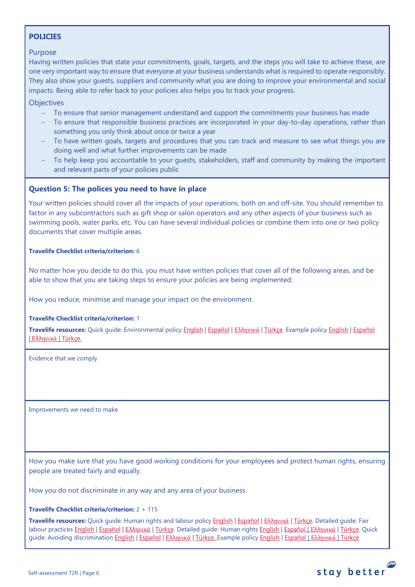# <span id="page-5-0"></span>**POLICIES**

## Purpose

Having written policies that state your commitments, goals, targets, and the steps you will take to achieve these, are one very important way to ensure that everyone at your business understands what is required to operate responsibly. They also show your guests, suppliers and community what you are doing to improve your environmental and social impacts. Being able to refer back to your policies also helps you to track your progress.

**Objectives** 

- − To ensure that senior management understand and support the commitments your business has made
- To ensure that responsible business practices are incorporated in your day-to-day operations, rather than something you only think about once or twice a year
- To have written goals, targets and procedures that you can track and measure to see what things you are doing well and what further improvements can be made
- To help keep you accountable to your guests, stakeholders, staff and community by making the important and relevant parts of your policies public

## <span id="page-5-1"></span>**Question 5: The polices you need to have in place**

Your written policies should cover all the impacts of your operations, both on and off-site. You should remember to factor in any subcontractors such as gift shop or salon operators and any other aspects of your business such as swimming pools, water parks, etc. You can have several individual policies or combine them into one or two policy documents that cover multiple areas.

### **Travelife Checklist criteria/criterion:** 6

No matter how you decide to do this, you must have written policies that cover all of the following areas, and be able to show that you are taking steps to ensure your policies are being implemented:

How you reduce, minimise and manage your impact on the environment.

### **Travelife Checklist criteria/criterion:** 1

**Travelife resources:** Quick guide: Environmental policy [English](https://travelifestaybetter.com/wp-content/uploads/2019/02/3-Quick-Guide-Environmental-Policy.pdf) | [Español](https://travelifestaybetter.com/wp-content/uploads/2019/02/3-ES-Quick-Guide-Environmental-Policy.pdf) | Ελλ[ηνικά](https://travelifestaybetter.com/wp-content/uploads/2020/02/30-Quick-Guide-Environmental-Policy-GR.pdf) | [Türkçe.](https://travelifestaybetter.com/wp-content/uploads/2020/12/3-Quick-Guide-Environmental-Policy-TR-Hizli-Kilavuz-Cevre-Politikasi.pdf) Example polic[y English](https://travelifestaybetter.com/wp-content/uploads/2019/02/3-Example-Environmental-Policy.pdf) | [Español](https://travelifestaybetter.com/wp-content/uploads/2019/02/3-ES-Example-Environmental-Policy.pdf) | Ελλ[ηνικά](https://travelifestaybetter.com/wp-content/uploads/2020/07/31-Example-Environmental-Policy-GR.pdf) | [Türkçe.](https://travelifestaybetter.com/wp-content/uploads/2020/12/3-Example-Environmental-Policy-TR-Ornek-Cevre-Politikasi.pdf)

Evidence that we comply

Improvements we need to make

How you make sure that you have good working conditions for your employees and protect human rights, ensuring people are treated fairly and equally.

How you do not discriminate in any way and any area of your business.

### **Travelife Checklist criteria/criterion:** 2 + 115

**Travelife resources:** Quick guide: Human rights and labour policy [English](https://travelifestaybetter.com/wp-content/uploads/2019/02/8-Quick-Guide-Labour-and-Human-Rights-Policy.pdf) | [Español](https://travelifestaybetter.com/wp-content/uploads/2019/02/8-ES-Quick-Guide-Labour-and-Human-Rights-Policy.pdf) | Ελλ[ηνικά](https://travelifestaybetter.com/wp-content/uploads/2020/07/35-Quick-Guide-Labour-and-Human-Rights-Policy-GR.pdf) | [Türkçe.](https://travelifestaybetter.com/wp-content/uploads/2020/08/8-Quick-Guide-Labour-and-Human-Rights-Policy-TR-8-Hizli-Kilavuz-Isci-ve-Insan-Haklari-Politikasi.pdf) Detailed guide: Fair labour practices [English](https://travelifestaybetter.com/wp-content/uploads/2021/01/8-Detailed-Guide-Human-Rights.pdf) | Εspañol | Ελλ[ηνικά](https://travelifestaybetter.com/wp-content/uploads/2021/01/8-GR-Detailed-Guide-Human-Rights.pdf) | [Türkçe.](https://travelifestaybetter.com/wp-content/uploads/2021/01/10-Detailed-Guide-Fair-Labour-Practices-TR-Adil-Is-Gucu-Uygulamalari-Detayli-Kilavuz.pdf) Detailed guide: Human rights English | Εspañol | Ελληνικά | [Türkçe.](https://travelifestaybetter.com/wp-content/uploads/2021/01/8-Detailed-Guide-Human-Rights-TR-Insan-Haklari-Detayli-Kilavuz.pdf) Quick guide: Avoiding discriminatio[n English](https://travelifestaybetter.com/wp-content/uploads/2019/02/13-Quick-Guide-Avoiding-Workplace-Discrimination.pdf) | [Español](https://travelifestaybetter.com/wp-content/uploads/2021/06/8-ES-Example-Labour-Human-Rights-Policy.pdf) | Ελλ[ηνικά](https://travelifestaybetter.com/wp-content/uploads/2020/07/38-Quick-Guide-Avoiding-Workplace-Discrimination-GR.pdf) | [Türkçe.](https://travelifestaybetter.com/wp-content/uploads/2020/10/13-Quick-Guide-Avoiding-Workplace-Discrimination-TR-Isyerinde-Ayrimciligi-Onlemek-icin-Hizli-Kilavuz.pdf) Example policy [English](https://travelifestaybetter.com/wp-content/uploads/2021/06/10-Example-Labour-and-Human-Rights-Policy.pdf) | Español | [Ελληνικά](https://travelifestaybetter.com/wp-content/uploads/2021/08/10-Example-Labour-and-Human-Rights-Policy-GR.pdf) | [Türkçe](https://travelifestaybetter.com/wp-content/uploads/2021/06/10-Example-Labour-and-Human-Rights-Policy-TR-Ornek-Calisan-ve-Insan-Haklari-Politikasi.pdf)

stay better

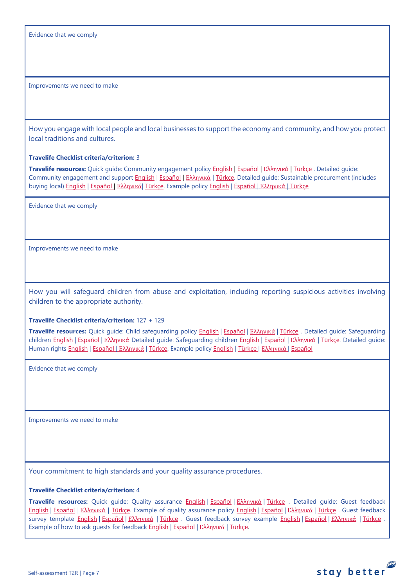Evidence that we comply

Improvements we need to make

How you engage with local people and local businesses to support the economy and community, and how you protect local traditions and cultures.

### **Travelife Checklist criteria/criterion:** 3

**Travelife resources:** Quick guide: Community engagement policy [English](https://travelifestaybetter.com/wp-content/uploads/2019/02/7-Quick-Guide-Community-Engagement.pdf) | [Español](https://travelifestaybetter.com/wp-content/uploads/2019/02/7-ES-Quick-Guide-Community-Engagement.pdf) | Ελλ[ηνικά](https://travelifestaybetter.com/wp-content/uploads/2020/07/34-Quick-Guide-Community-Engagement-GR.pdf) | [Türkçe](https://travelifestaybetter.com/wp-content/uploads/2020/08/7-Quick-Guide-Community-Engagement-TR-7-Hizli-Kilavuz-Toplum-Uyum-Politikasi.pdf) . Detailed guide: Community engagement and suppor[t English](https://travelifestaybetter.com/wp-content/uploads/2019/02/7-Detailed-Guide-Community-Engagement.pdf) | [Español](https://travelifestaybetter.com/wp-content/uploads/2019/02/7-ES-Detailed-Guide-Community-Engagement.pdf) | Ελλ[ηνικά](https://travelifestaybetter.com/wp-content/uploads/2020/11/7-GR-Detailed-Guide-Community-Engagement.pdf) | [Türkçe.](https://travelifestaybetter.com/wp-content/uploads/2021/01/7-Detailed-Guide-Community-Engagement-TR-Toplum-Katilimi-ve-Destegi-Detayli-Kilavuz.pdf) Detailed guide: Sustainable procurement (includes buying local[\) English](https://travelifestaybetter.com/wp-content/uploads/2019/02/22-Detailed-Guide-Sustainable-Procurement.pdf) | [Español](https://travelifestaybetter.com/wp-content/uploads/2019/03/22-ES-Detailed-Guide-Sustainable-Procurement.pdf) | Ελλ[ηνικά](https://travelifestaybetter.com/wp-content/uploads/2021/01/22-GR-Detailed-Guide-Sustainable-Procurement.pdf)| [Türkçe.](https://travelifestaybetter.com/wp-content/uploads/2021/01/22-Detailed-Guide-Sustainable-Procurement-TR-Surdurulebilir-Tedarik-Detayli-Kilavuz.pdf) Example polic[y English](https://travelifestaybetter.com/wp-content/uploads/2021/06/7-Example-Community-engagement-Policy.pdf) | [Español](https://travelifestaybetter.com/wp-content/uploads/2021/06/7-ES-Example-Community-Engagement-Policy.pdf) | [Ελληνικά](https://travelifestaybetter.com/wp-content/uploads/2021/08/7-Example-Community-engagement-policy-GR.pdf) | [Türkçe](https://travelifestaybetter.com/wp-content/uploads/2021/06/7-Example-Community-engagement-Policy-TR-Ornek-Toplum-Uyum-Politikasi.pdf)

Evidence that we comply

Improvements we need to make

How you will safeguard children from abuse and exploitation, including reporting suspicious activities involving children to the appropriate authority.

#### **Travelife Checklist criteria/criterion:** 127 + 129

**Travelife resources:** Quick guide: Child safeguarding policy [English](https://travelifestaybetter.com/wp-content/uploads/2020/06/14-Quick-Guide-Child-Safeguarding.pdf) | [Español](https://travelifestaybetter.com/wp-content/uploads/2019/02/14-ES-Quick-Guide-Safeguarding-Children.pdf) | Ελλ[ηνικά](https://travelifestaybetter.com/wp-content/uploads/2020/07/39-Quick-Guide-Child-Safeguarding-GR.pdf) | [Türkçe](https://travelifestaybetter.com/wp-content/uploads/2020/10/14-Quick-Guide-Child-Safeguarding-TR-Cocuklarin-Korunmasi-icin-Hizli-Kilavuz.pdf) . Detailed guide: Safeguarding children [English](https://travelifestaybetter.com/wp-content/uploads/2019/02/14-Detailed-Guide-Safeguarding-Children.pdf) | [Español](https://travelifestaybetter.com/wp-content/uploads/2019/03/14-ES-Detailed-Guide-Safeguarding-Children.pdf) | Ελλ[ηνικά](https://travelifestaybetter.com/wp-content/uploads/2020/11/14-GR-Detailed-Guide-Safeguarding-Children.pdf) Detailed guide: Safeguarding children [English](https://travelifestaybetter.com/wp-content/uploads/2019/02/14-Detailed-Guide-Safeguarding-Children.pdf) | [Español](https://travelifestaybetter.com/wp-content/uploads/2019/03/14-ES-Detailed-Guide-Safeguarding-Children.pdf) | Ελλ[ηνικά](https://travelifestaybetter.com/wp-content/uploads/2020/11/14-GR-Detailed-Guide-Safeguarding-Children.pdf) | [Türkçe.](https://travelifestaybetter.com/wp-content/uploads/2021/01/14-Detailed-Guide-Safeguarding-Children-TR-Cocuklari-Koruma-Detayli-Kilavuz.pdf) Detailed guide: Human rights [English](https://travelifestaybetter.com/wp-content/uploads/2021/01/8-Detailed-Guide-Human-Rights.pdf) | [Español](https://travelifestaybetter.com/wp-content/uploads/2021/08/14-ES-Example-Child-Safeguarding-Policy.pdf) | Ελλ[ηνικά](https://travelifestaybetter.com/wp-content/uploads/2021/08/14-Example-Child-Safeguarding-Policy-GR.pdf) | [Türkçe.](https://travelifestaybetter.com/wp-content/uploads/2021/01/8-Detailed-Guide-Human-Rights-TR-Insan-Haklari-Detayli-Kilavuz.pdf) Example policy [English](https://travelifestaybetter.com/wp-content/uploads/2021/08/14-Example-Child-Safeguarding-Policy.pdf) | [Türkçe](https://travelifestaybetter.com/wp-content/uploads/2021/08/14-Example-Child-Safeguarding-Policy-TR-14-Ornek-Cocuk-Koruma-Politikasi.pdf) | Ελληνικά | Español

Evidence that we comply

Improvements we need to make

Your commitment to high standards and your quality assurance procedures.

### **Travelife Checklist criteria/criterion:** 4

**Travelife resources:** Quick guide: Quality assurance [English](https://travelifestaybetter.com/wp-content/uploads/2019/02/4-Quick-Guide-Quality-Assurance.pdf) | [Español](https://travelifestaybetter.com/wp-content/uploads/2019/02/4-ES-Quick-Guide-Quality-Assurance.pdf) | Ελλ[ηνικά](https://travelifestaybetter.com/wp-content/uploads/2020/07/32-Quick-Guide-Quality-Assurance-GR.pdf) | [Türkçe](https://travelifestaybetter.com/wp-content/uploads/2020/11/4-Quick-Guide-Quality-Assurance-TR-4-Hizli-Kilavuz-Kalite-Guvence.pdf) . Detailed guide: Guest feedback [English](https://travelifestaybetter.com/wp-content/uploads/2019/02/5-Detailed-Guide-Collecting-Guest-Feedback.pdf) | [Español](https://travelifestaybetter.com/wp-content/uploads/2019/02/5-ES-Detailed-Guide-Collecting-Guest-Feedback.pdf) | Ελλ[ηνικά](https://travelifestaybetter.com/wp-content/uploads/2021/01/5-GR-Detailed-Guide-Collecting-Guest-Feedback.pdf) | [Türkçe.](https://travelifestaybetter.com/wp-content/uploads/2021/01/5-Detailed-Guide-Collecting-Guest-Feedback-TR-Misafir-Geri-Bildirimlerini-Toplama-Detayli-Kilavuz.pdf) Example of quality assurance policy [English](https://travelifestaybetter.com/wp-content/uploads/2019/02/4-Example-Quality-Assurance-Policy.pdf) | [Español](https://travelifestaybetter.com/wp-content/uploads/2019/02/4-ES-Example-Quality-Assurance-Policy.pdf) | Ελλ[ηνικά](https://travelifestaybetter.com/wp-content/uploads/2020/07/33-Example-Quality-Assurance-Policy-GR.pdf) | [Türkçe](https://travelifestaybetter.com/wp-content/uploads/2020/08/4-Example-Quality-Assurance-Policy-TR-4-Ornek-Kalite-Guvence-Politikasi.pdf) . Guest feedback survey template **English | Εspañol | Ελλ[ηνικά](https://travelifestaybetter.com/wp-content/uploads/2021/01/5-GR-Example-Guest-Feedback-Survey.pdf) | [Türkçe](https://travelifestaybetter.com/wp-content/uploads/2020/08/5-Example-Guest-Feedback-Survey-TR-5-Ornek-Misafir-Geri-Bildirim-Anketi.pdf)** . Guest feedback survey example **English | Εspañol | Ελληνικά | Türkçe** Example of how to ask quests for feedback **English | [Español](https://travelifestaybetter.com/wp-content/uploads/2019/02/5-ES-Example-Guest-Feedback-Instructions-for-Guests.pdf) | Ελλ[ηνικά](https://travelifestaybetter.com/wp-content/uploads/2021/01/5-GR-Example-of-Feedback-Instructions-for-Guests.pdf) | [Türkçe.](https://travelifestaybetter.com/wp-content/uploads/2020/08/5-Example-of-Feedback-Insructions-for-Guests-TR-5-Ornek-Misafir-Geri-Bildirim-Talimati.pdf)** 

stay better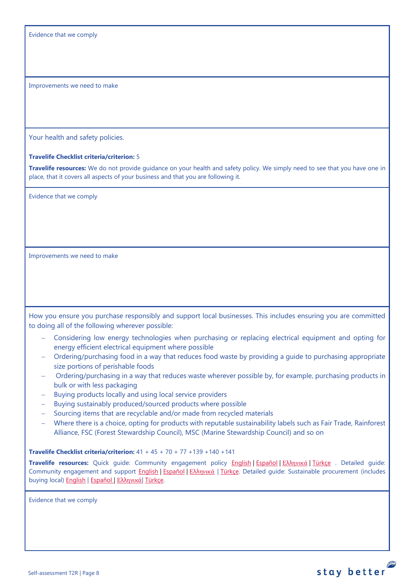Evidence that we comply

Improvements we need to make

Your health and safety policies.

#### **Travelife Checklist criteria/criterion:** 5

**Travelife resources:** We do not provide guidance on your health and safety policy. We simply need to see that you have one in place, that it covers all aspects of your business and that you are following it.

Evidence that we comply

Improvements we need to make

How you ensure you purchase responsibly and support local businesses. This includes ensuring you are committed to doing all of the following wherever possible:

- − Considering low energy technologies when purchasing or replacing electrical equipment and opting for energy efficient electrical equipment where possible
- − Ordering/purchasing food in a way that reduces food waste by providing a guide to purchasing appropriate size portions of perishable foods
- Ordering/purchasing in a way that reduces waste wherever possible by, for example, purchasing products in bulk or with less packaging
- − Buying products locally and using local service providers
- − Buying sustainably produced/sourced products where possible
- − Sourcing items that are recyclable and/or made from recycled materials
- − Where there is a choice, opting for products with reputable sustainability labels such as Fair Trade, Rainforest Alliance, FSC (Forest Stewardship Council), MSC (Marine Stewardship Council) and so on

**Travelife Checklist criteria/criterion:** 41 + 45 + 70 + 77 +139 +140 +141

**Travelife resources:** Quick guide: Community engagement policy [English](https://travelifestaybetter.com/wp-content/uploads/2019/02/7-Quick-Guide-Community-Engagement.pdf) | [Español](https://travelifestaybetter.com/wp-content/uploads/2019/02/7-ES-Quick-Guide-Community-Engagement.pdf) | Ελλ[ηνικά](https://travelifestaybetter.com/wp-content/uploads/2020/07/34-Quick-Guide-Community-Engagement-GR.pdf) | [Türkçe](https://travelifestaybetter.com/wp-content/uploads/2020/08/7-Quick-Guide-Community-Engagement-TR-7-Hizli-Kilavuz-Toplum-Uyum-Politikasi.pdf) . Detailed guide: Community engagement and support [English](https://travelifestaybetter.com/wp-content/uploads/2019/02/7-Detailed-Guide-Community-Engagement.pdf) | Εspañol | Ελλ[ηνικά](https://travelifestaybetter.com/wp-content/uploads/2020/11/7-GR-Detailed-Guide-Community-Engagement.pdf) | [Türkçe.](https://travelifestaybetter.com/wp-content/uploads/2021/01/7-Detailed-Guide-Community-Engagement-TR-Toplum-Katilimi-ve-Destegi-Detayli-Kilavuz.pdf) Detailed guide: Sustainable procurement (includes buying local[\) English](https://travelifestaybetter.com/wp-content/uploads/2019/02/22-Detailed-Guide-Sustainable-Procurement.pdf) | [Español](https://travelifestaybetter.com/wp-content/uploads/2019/03/22-ES-Detailed-Guide-Sustainable-Procurement.pdf) | Ελλ[ηνικά](https://travelifestaybetter.com/wp-content/uploads/2021/01/22-GR-Detailed-Guide-Sustainable-Procurement.pdf)| [Türkçe.](https://travelifestaybetter.com/wp-content/uploads/2021/01/22-Detailed-Guide-Sustainable-Procurement-TR-Surdurulebilir-Tedarik-Detayli-Kilavuz.pdf)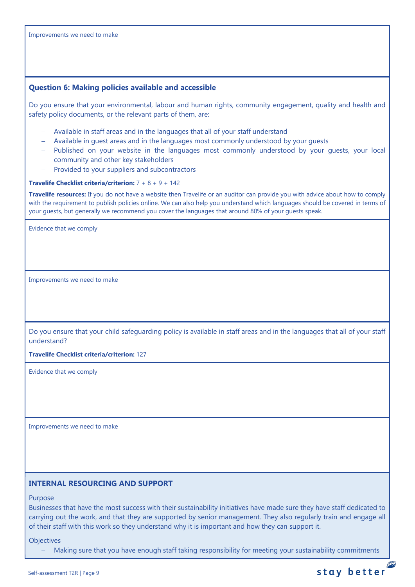<span id="page-8-0"></span>Improvements we need to make **Question 6: Making policies available and accessible** Do you ensure that your environmental, labour and human rights, community engagement, quality and health and safety policy documents, or the relevant parts of them, are: − Available in staff areas and in the languages that all of your staff understand − Available in guest areas and in the languages most commonly understood by your guests − Published on your website in the languages most commonly understood by your guests, your local community and other key stakeholders Provided to your suppliers and subcontractors **Travelife Checklist criteria/criterion:** 7 + 8 + 9 + 142 **Travelife resources:** If you do not have a website then Travelife or an auditor can provide you with advice about how to comply with the requirement to publish policies online. We can also help you understand which languages should be covered in terms of your guests, but generally we recommend you cover the languages that around 80% of your guests speak. Evidence that we comply Improvements we need to make Do you ensure that your child safeguarding policy is available in staff areas and in the languages that all of your staff understand? **Travelife Checklist criteria/criterion:** 127 Evidence that we comply Improvements we need to make **INTERNAL RESOURCING AND SUPPORT**

<span id="page-8-1"></span>Purpose

Businesses that have the most success with their sustainability initiatives have made sure they have staff dedicated to carrying out the work, and that they are supported by senior management. They also regularly train and engage all of their staff with this work so they understand why it is important and how they can support it.

**Objectives** 

Making sure that you have enough staff taking responsibility for meeting your sustainability commitments

P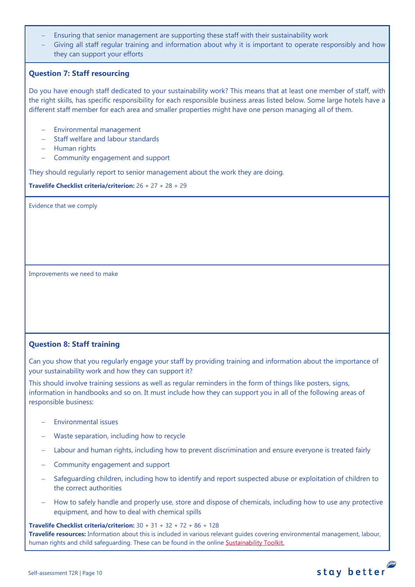- Ensuring that senior management are supporting these staff with their sustainability work
- Giving all staff regular training and information about why it is important to operate responsibly and how they can support your efforts

# <span id="page-9-0"></span>**Question 7: Staff resourcing**

Do you have enough staff dedicated to your sustainability work? This means that at least one member of staff, with the right skills, has specific responsibility for each responsible business areas listed below. Some large hotels have a different staff member for each area and smaller properties might have one person managing all of them.

- − Environmental management
- − Staff welfare and labour standards
- − Human rights
- − Community engagement and support

They should regularly report to senior management about the work they are doing.

**Travelife Checklist criteria/criterion:** 26 + 27 + 28 + 29

Evidence that we comply

Improvements we need to make

# <span id="page-9-1"></span>**Question 8: Staff training**

Can you show that you regularly engage your staff by providing training and information about the importance of your sustainability work and how they can support it?

This should involve training sessions as well as regular reminders in the form of things like posters, signs, information in handbooks and so on. It must include how they can support you in all of the following areas of responsible business:

- − Environmental issues
- − Waste separation, including how to recycle
- − Labour and human rights, including how to prevent discrimination and ensure everyone is treated fairly
- − Community engagement and support
- Safeguarding children, including how to identify and report suspected abuse or exploitation of children to the correct authorities
- How to safely handle and properly use, store and dispose of chemicals, including how to use any protective equipment, and how to deal with chemical spills

**Travelife Checklist criteria/criterion:** 30 + 31 + 32 + 72 + 86 + 128 **Travelife resources:** Information about this is included in various relevant guides covering environmental management, labour, human rights and child safeguarding. These can be found in the online [Sustainability Toolkit.](https://travelifestaybetter.com/accommodation-member-zone/)

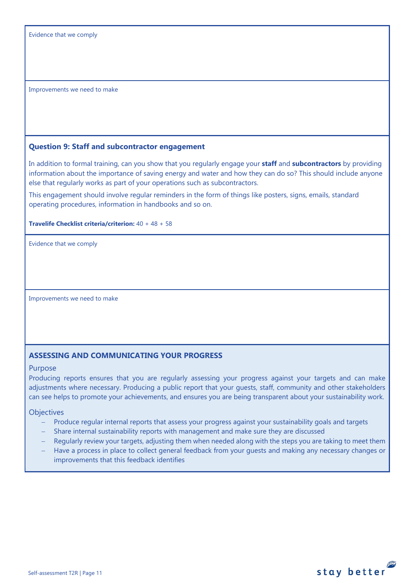Improvements we need to make

## <span id="page-10-0"></span>**Question 9: Staff and subcontractor engagement**

In addition to formal training, can you show that you regularly engage your **staff** and **subcontractors** by providing information about the importance of saving energy and water and how they can do so? This should include anyone else that regularly works as part of your operations such as subcontractors.

This engagement should involve regular reminders in the form of things like posters, signs, emails, standard operating procedures, information in handbooks and so on.

**Travelife Checklist criteria/criterion:** 40 + 48 + 58

Evidence that we comply

Improvements we need to make

# **ASSESSING AND COMMUNICATING YOUR PROGRESS**

#### Purpose

Producing reports ensures that you are regularly assessing your progress against your targets and can make adjustments where necessary. Producing a public report that your guests, staff, community and other stakeholders can see helps to promote your achievements, and ensures you are being transparent about your sustainability work.

**Objectives** 

- Produce regular internal reports that assess your progress against your sustainability goals and targets
- − Share internal sustainability reports with management and make sure they are discussed
- Regularly review your targets, adjusting them when needed along with the steps you are taking to meet them
- Have a process in place to collect general feedback from your guests and making any necessary changes or improvements that this feedback identifies

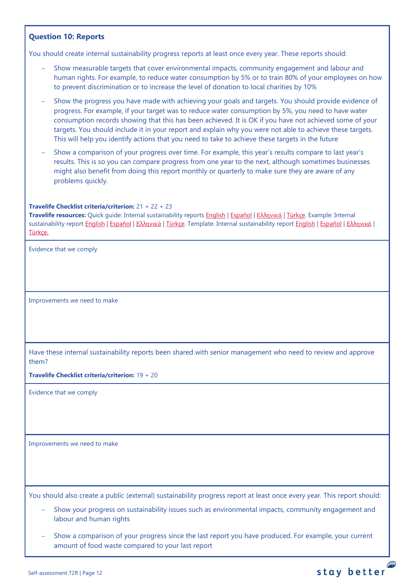# <span id="page-11-0"></span>**Question 10: Reports**

You should create internal sustainability progress reports at least once every year. These reports should:

- Show measurable targets that cover environmental impacts, community engagement and labour and human rights. For example, to reduce water consumption by 5% or to train 80% of your employees on how to prevent discrimination or to increase the level of donation to local charities by 10%
- Show the progress you have made with achieving your goals and targets. You should provide evidence of progress. For example, if your target was to reduce water consumption by 5%, you need to have water consumption records showing that this has been achieved. It is OK if you have not achieved some of your targets. You should include it in your report and explain why you were not able to achieve these targets. This will help you identify actions that you need to take to achieve these targets in the future
- Show a comparison of your progress over time. For example, this year's results compare to last year's results. This is so you can compare progress from one year to the next, although sometimes businesses might also benefit from doing this report monthly or quarterly to make sure they are aware of any problems quickly.

### **Travelife Checklist criteria/criterion:** 21 + 22 + 23

**Travelife resources:** Quick guide: Internal sustainability reports [English](https://travelifestaybetter.com/wp-content/uploads/2019/02/2-Quick-Guide-Internal-Sustainability-Report.pdf) | [Español](https://travelifestaybetter.com/wp-content/uploads/2019/02/2-ES-Quick-Guide-Internal-Sustainability-Report.pdf) | Ελλ[ηνικά](https://travelifestaybetter.com/wp-content/uploads/2020/02/26-Quick-Guide-Internal-Sustainability-Report-GR.pdf) [| Türkçe.](https://travelifestaybetter.com/wp-content/uploads/2020/12/2-Quick-Guide-Internal-Sustainability-Report-TR-Hizli-Kilavuz-Sirket-Ici-Surdurulebilirlik-Raporu.pdf) Example: Internal sustainability report [English](https://travelifestaybetter.com/wp-content/uploads/2020/12/2-Template-Internal-Sustainability-Report-V1.1.docx) | Εspañol | Ελλ[ηνικά](https://travelifestaybetter.com/wp-content/uploads/2020/12/2-GR-Template-Internal-Sustainability-Report-V1.1.docx) [| Türkçe.](https://travelifestaybetter.com/wp-content/uploads/2020/12/2-Example-Internal-Sustainability-Report-TR-Ornek-Sirket-Ici-Surdurulebilirlik-Raporu.pdf) Template: Internal sustainability report English | Εspañol | Ελληνικά | [Türkçe.](https://travelifestaybetter.com/wp-content/uploads/2020/12/2-Template-Internal-Sustainability-Report-TRSablon-Sirket-Ici-Surdurulebilirlik-Raporu.docx)

Evidence that we comply

Improvements we need to make

Have these internal sustainability reports been shared with senior management who need to review and approve them?

**Travelife Checklist criteria/criterion:** 19 + 20

Evidence that we comply

Improvements we need to make

You should also create a public (external) sustainability progress report at least once every year. This report should:

- Show your progress on sustainability issues such as environmental impacts, community engagement and labour and human rights
- Show a comparison of your progress since the last report you have produced. For example, your current amount of food waste compared to your last report

stay better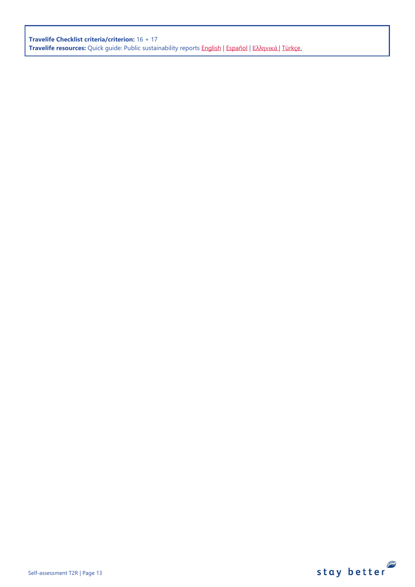**Travelife Checklist criteria/criterion:** 16 + 17 **Travelife resources:** Quick guide: Public sustainability reports [English](https://travelifestaybetter.com/wp-content/uploads/2020/12/2-Quick-Guide-Public-Sustinability-Report-V1.1.pdf) | [Español](https://travelifestaybetter.com/wp-content/uploads/2020/12/2-ES-Quick-Guide-Public-Sustinability-Report-V1.1.pdf) | Ελλ[ηνικά](https://travelifestaybetter.com/wp-content/uploads/2020/12/3-Quick-Guide-Public-Sustinability-Report-V1.1-GR.pdf) [| Türkçe.](https://travelifestaybetter.com/wp-content/uploads/2020/12/2-Quick-Guide-Public-Sustinability-Report-TR-Hizli-Kilavuz-Sirket-Disi-Surdurulebilirlik-Raporu.pdf)

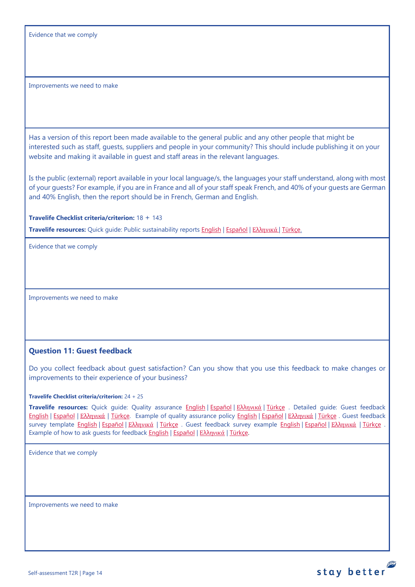Evidence that we comply

Improvements we need to make

Has a version of this report been made available to the general public and any other people that might be interested such as staff, guests, suppliers and people in your community? This should include publishing it on your website and making it available in guest and staff areas in the relevant languages.

Is the public (external) report available in your local language/s, the languages your staff understand, along with most of your guests? For example, if you are in France and all of your staff speak French, and 40% of your guests are German and 40% English, then the report should be in French, German and English.

**Travelife Checklist criteria/criterion:** 18 + 143

**Travelife resources:** Quick guide: Public sustainability reports [English](https://travelifestaybetter.com/wp-content/uploads/2020/12/2-Quick-Guide-Public-Sustinability-Report-V1.1.pdf) | [Español](https://travelifestaybetter.com/wp-content/uploads/2020/12/2-ES-Quick-Guide-Public-Sustinability-Report-V1.1.pdf) | Ελλ[ηνικά](https://travelifestaybetter.com/wp-content/uploads/2020/12/3-Quick-Guide-Public-Sustinability-Report-V1.1-GR.pdf) [| Türkçe.](https://travelifestaybetter.com/wp-content/uploads/2020/12/2-Quick-Guide-Public-Sustinability-Report-TR-Hizli-Kilavuz-Sirket-Disi-Surdurulebilirlik-Raporu.pdf)

Evidence that we comply

Improvements we need to make

## <span id="page-13-0"></span>**Question 11: Guest feedback**

Do you collect feedback about guest satisfaction? Can you show that you use this feedback to make changes or improvements to their experience of your business?

**Travelife Checklist criteria/criterion:** 24 + 25

**Travelife resources:** Quick guide: Quality assurance [English](https://travelifestaybetter.com/wp-content/uploads/2019/02/4-Quick-Guide-Quality-Assurance.pdf) | [Español](https://travelifestaybetter.com/wp-content/uploads/2019/02/4-ES-Quick-Guide-Quality-Assurance.pdf) | Ελλ[ηνικά](https://travelifestaybetter.com/wp-content/uploads/2020/07/32-Quick-Guide-Quality-Assurance-GR.pdf) | [Türkçe](https://travelifestaybetter.com/wp-content/uploads/2020/11/4-Quick-Guide-Quality-Assurance-TR-4-Hizli-Kilavuz-Kalite-Guvence.pdf) . Detailed guide: Guest feedback [English](https://travelifestaybetter.com/wp-content/uploads/2019/02/5-Detailed-Guide-Collecting-Guest-Feedback.pdf) | [Español](https://travelifestaybetter.com/wp-content/uploads/2019/02/5-ES-Detailed-Guide-Collecting-Guest-Feedback.pdf) | Ελλ[ηνικά](https://travelifestaybetter.com/wp-content/uploads/2021/01/5-GR-Detailed-Guide-Collecting-Guest-Feedback.pdf) | [Türkçe.](https://travelifestaybetter.com/wp-content/uploads/2021/01/5-Detailed-Guide-Collecting-Guest-Feedback-TR-Misafir-Geri-Bildirimlerini-Toplama-Detayli-Kilavuz.pdf) Example of quality assurance policy [English](https://travelifestaybetter.com/wp-content/uploads/2019/02/4-Example-Quality-Assurance-Policy.pdf) | [Español](https://travelifestaybetter.com/wp-content/uploads/2019/02/4-ES-Example-Quality-Assurance-Policy.pdf) | Ελλ[ηνικά](https://travelifestaybetter.com/wp-content/uploads/2020/07/33-Example-Quality-Assurance-Policy-GR.pdf) | [Türkçe](https://travelifestaybetter.com/wp-content/uploads/2020/08/4-Example-Quality-Assurance-Policy-TR-4-Ornek-Kalite-Guvence-Politikasi.pdf) . Guest feedback survey template **English | [Español](https://travelifestaybetter.com/wp-content/uploads/2019/02/5-ES-Example-Guest-Feedback-Survey.pdf) | Ελλ[ηνικά](https://travelifestaybetter.com/wp-content/uploads/2021/01/5-GR-Example-Guest-Feedback-Survey.pdf) | [Türkçe](https://travelifestaybetter.com/wp-content/uploads/2020/08/5-Example-Guest-Feedback-Survey-TR-5-Ornek-Misafir-Geri-Bildirim-Anketi.pdf)** . Guest feedback survey example **English | Español | Ελληνικά | Türkçe** Example of how to ask quests for feedback [English](https://travelifestaybetter.com/wp-content/uploads/2019/02/5-Example-of-Feedback-Insructions-for-Guests.pdf) | [Español](https://travelifestaybetter.com/wp-content/uploads/2019/02/5-ES-Example-Guest-Feedback-Instructions-for-Guests.pdf) | Ελλ[ηνικά](https://travelifestaybetter.com/wp-content/uploads/2021/01/5-GR-Example-of-Feedback-Instructions-for-Guests.pdf) | [Türkçe.](https://travelifestaybetter.com/wp-content/uploads/2020/08/5-Example-of-Feedback-Insructions-for-Guests-TR-5-Ornek-Misafir-Geri-Bildirim-Talimati.pdf)

stay better

Evidence that we comply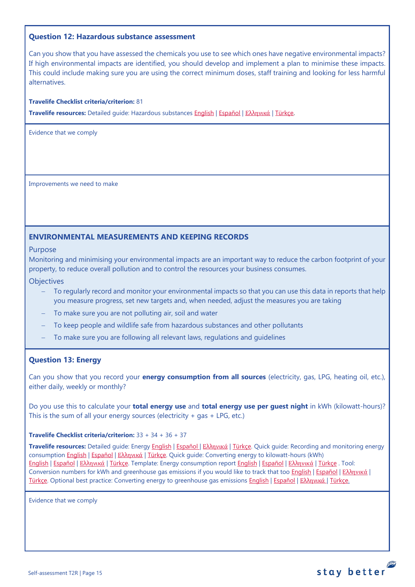## <span id="page-14-0"></span>**Question 12: Hazardous substance assessment**

Can you show that you have assessed the chemicals you use to see which ones have negative environmental impacts? If high environmental impacts are identified, you should develop and implement a plan to minimise these impacts. This could include making sure you are using the correct minimum doses, staff training and looking for less harmful alternatives.

#### **Travelife Checklist criteria/criterion:** 81

**Travelife resources:** Detailed guide: Hazardous substances [English](https://travelifestaybetter.com/wp-content/uploads/2019/02/20-Detailed-Guide-Hazardous-Substances.pdf) | [Español](https://travelifestaybetter.com/wp-content/uploads/2019/02/20-ES-Detailed-Guide-Hazardous-Substances.pdf) | Ελλ[ηνικά](https://travelifestaybetter.com/wp-content/uploads/2021/01/20-GR-Detailed-Guide-Hazardous-Substances.pdf) | [Türkçe.](https://travelifestaybetter.com/wp-content/uploads/2021/01/20-Detailed-Guide-Hazardous-Substances-TR-Tehlikeli-Maddeler-Detayli-Kilavuz.pdf)

Evidence that we comply

Improvements we need to make

## <span id="page-14-1"></span>**ENVIRONMENTAL MEASUREMENTS AND KEEPING RECORDS**

#### Purpose

Monitoring and minimising your environmental impacts are an important way to reduce the carbon footprint of your property, to reduce overall pollution and to control the resources your business consumes.

#### **Objectives**

- To regularly record and monitor your environmental impacts so that you can use this data in reports that help you measure progress, set new targets and, when needed, adjust the measures you are taking
- − To make sure you are not polluting air, soil and water
- To keep people and wildlife safe from hazardous substances and other pollutants
- To make sure you are following all relevant laws, regulations and guidelines

## <span id="page-14-2"></span>**Question 13: Energy**

Can you show that you record your **energy consumption from all sources** (electricity, gas, LPG, heating oil, etc.), either daily, weekly or monthly?

Do you use this to calculate your **total energy use** and **total energy use per guest night** in kWh (kilowatt-hours)? This is the sum of all your energy sources (electricity  $+$  gas  $+$  LPG, etc.)

#### **Travelife Checklist criteria/criterion:** 33 + 34 + 36 + 37

**Travelife resources:** Detailed guide: Energy [English](https://travelifestaybetter.com/wp-content/uploads/2019/02/17-Detailed-Guide-Energy.pdf) | [Español](https://travelifestaybetter.com/wp-content/uploads/2019/02/17-ES-Detailed-Guide-Energy.pdf) | Ελλ[ηνικά](https://travelifestaybetter.com/wp-content/uploads/2020/11/17-GR-Detailed-Guide-Energy.pdf) | [Türkçe.](https://travelifestaybetter.com/wp-content/uploads/2021/01/17-Detailed-Guide-Energy-TR-Enerji-Detayli-Kilavuz.pdf) Quick guide: Recording and monitoring energy consumption **English | [Español](https://travelifestaybetter.com/wp-content/uploads/2019/02/17-ES-Quick-Guide-Monitoring-Reporting-Energy-Use.pdf) | Ελλ[ηνικά](https://travelifestaybetter.com/wp-content/uploads/2020/01/12-Quick-Guide-Monitoring-Reporting-Energy-Use-GR.pdf) | Türkçe**. Quick guide: Converting energy to kilowatt-hours (kWh) [English](https://travelifestaybetter.com/wp-content/uploads/2019/02/17-Quick-Guide-Converting-Energy-to-Kilowatt-Hours.pdf) | [Español](https://travelifestaybetter.com/wp-content/uploads/2019/03/17-ES-Quick-Guide-Converting-Energy-to-Kilowatt-Hours.pdf) | Ελλ[ηνικά](https://travelifestaybetter.com/wp-content/uploads/2020/01/13-Quick-Guide-Converting-Energy-to-Kilowatt-Hours-GR.pdf) | [Türkçe.](https://travelifestaybetter.com/wp-content/uploads/2020/10/17-Quick-Guide-Converting-Energy-to-Kilowatt-Hours-TR-Enerjinin-Kilovatsaata-Donusturulmesi-icin-Hizli-Kilavuz.pdf) Template: Energy consumption report [English](https://travelifestaybetter.com/wp-content/uploads/2019/02/17-Template-Recording-Energy-Consumption.xlsx) | [Español](https://travelifestaybetter.com/wp-content/uploads/2019/02/17-ES-Template-Recording-Energy-Consumption.xlsx) | Ελλ[ηνικά](https://travelifestaybetter.com/wp-content/uploads/2019/08/17-GR-Template-Recording-Energy-Consumption.xlsx) | [Türkçe](https://travelifestaybetter.com/wp-content/uploads/2020/07/17-Template-Recording-Energy-Consumption-TR-Enerji-T%C3%BCketiminin-Kayd%C4%B1-%C5%9Eablonu.xlsx) . Tool: Conversion numbers for kWh and greenhouse gas emissions if you would like to track that too [English](https://travelifestaybetter.com/wp-content/uploads/2019/02/17-Fuel-Conversion-Rates-to-kWh-and-CO2e.pdf) | [Español](https://travelifestaybetter.com/wp-content/uploads/2019/02/17-ES-Fuel-Conversion-to-kWh-and-CO2e.pdf) | Ελλ[ηνικά](https://travelifestaybetter.com/wp-content/uploads/2020/01/11-Fuel-Conversion-to-kWh-and-CO2e-GR.pdf) | [Türkçe.](https://travelifestaybetter.com/wp-content/uploads/2020/10/17-Fuel-Conversion-to-kWh-and-CO2e-TR-Yakitin-kWh-ve-CO2eye-Donusturulmesi.pdf) Optional best practice: Converting energy to greenhouse gas emissions [English](https://travelifestaybetter.com/wp-content/uploads/2019/02/17-Quick-Guide-Converting-Energy-to-CO2e.pdf) | [Español](https://travelifestaybetter.com/wp-content/uploads/2019/02/17-ES-Quick-Guide-Converting-Energy-to-CO2e.pdf) | Ελλ[ηνικά](https://travelifestaybetter.com/wp-content/uploads/2020/01/14-Quick-Guide-Converting-Energy-to-CO2e-GR.pdf) | [Türkçe.](https://travelifestaybetter.com/wp-content/uploads/2020/10/17-Quick-Guide-Converting-Energy-to-CO2e-TR-Enerjinin-CO2eye-Donusturulmesi-icin-Hizli-Kilavuz.pdf)

stay better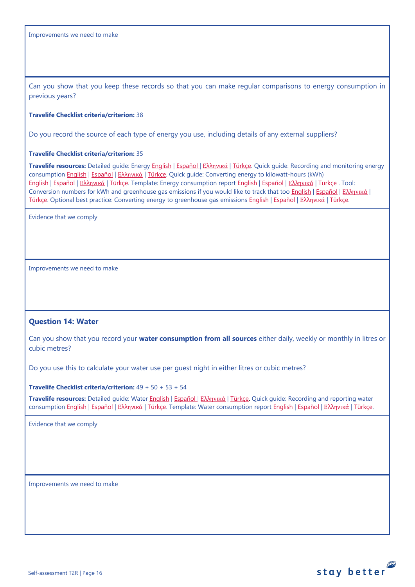Can you show that you keep these records so that you can make regular comparisons to energy consumption in previous years?

#### **Travelife Checklist criteria/criterion:** 38

Do you record the source of each type of energy you use, including details of any external suppliers?

#### **Travelife Checklist criteria/criterion:** 35

**Travelife resources:** Detailed guide: Energy [English](https://travelifestaybetter.com/wp-content/uploads/2019/02/17-Detailed-Guide-Energy.pdf) | [Español](https://travelifestaybetter.com/wp-content/uploads/2019/02/17-ES-Detailed-Guide-Energy.pdf) | Ελλ[ηνικά](https://travelifestaybetter.com/wp-content/uploads/2020/11/17-GR-Detailed-Guide-Energy.pdf) | [Türkçe.](https://travelifestaybetter.com/wp-content/uploads/2021/01/17-Detailed-Guide-Energy-TR-Enerji-Detayli-Kilavuz.pdf) Quick guide: Recording and monitoring energy consumption [English](https://travelifestaybetter.com/wp-content/uploads/2019/02/17-Quick-Guide-Monitoring-Reporting-Energy-Use.pdf) | [Español](https://travelifestaybetter.com/wp-content/uploads/2019/02/17-ES-Quick-Guide-Monitoring-Reporting-Energy-Use.pdf) | Ελλ[ηνικά](https://travelifestaybetter.com/wp-content/uploads/2020/01/12-Quick-Guide-Monitoring-Reporting-Energy-Use-GR.pdf) | [Türkçe.](https://travelifestaybetter.com/wp-content/uploads/2020/10/17-Quick-Guide-Monitoring-Reporting-Energy-Use-TR-Enerjinin-Takibi-ve-Raporlanmasi-icin-Hizli-Kilavuz.pdf) Quick guide: Converting energy to kilowatt-hours (kWh) [English](https://travelifestaybetter.com/wp-content/uploads/2019/02/17-Quick-Guide-Converting-Energy-to-Kilowatt-Hours.pdf) | [Español](https://travelifestaybetter.com/wp-content/uploads/2019/03/17-ES-Quick-Guide-Converting-Energy-to-Kilowatt-Hours.pdf) | Ελλ[ηνικά](https://travelifestaybetter.com/wp-content/uploads/2020/01/13-Quick-Guide-Converting-Energy-to-Kilowatt-Hours-GR.pdf) | [Türkçe.](https://travelifestaybetter.com/wp-content/uploads/2020/10/17-Quick-Guide-Converting-Energy-to-Kilowatt-Hours-TR-Enerjinin-Kilovatsaata-Donusturulmesi-icin-Hizli-Kilavuz.pdf) Template: Energy consumption report [English](https://travelifestaybetter.com/wp-content/uploads/2019/02/17-Template-Recording-Energy-Consumption.xlsx) | [Español](https://travelifestaybetter.com/wp-content/uploads/2019/02/17-ES-Template-Recording-Energy-Consumption.xlsx) | Ελλ[ηνικά](https://travelifestaybetter.com/wp-content/uploads/2019/08/17-GR-Template-Recording-Energy-Consumption.xlsx) | [Türkçe](https://travelifestaybetter.com/wp-content/uploads/2020/07/17-Template-Recording-Energy-Consumption-TR-Enerji-T%C3%BCketiminin-Kayd%C4%B1-%C5%9Eablonu.xlsx) . Tool: Conversion numbers for kWh and greenhouse gas emissions if you would like to track that too [English](https://travelifestaybetter.com/wp-content/uploads/2019/02/17-Fuel-Conversion-Rates-to-kWh-and-CO2e.pdf) | [Español](https://travelifestaybetter.com/wp-content/uploads/2019/02/17-ES-Fuel-Conversion-to-kWh-and-CO2e.pdf) | Ελλ[ηνικά](https://travelifestaybetter.com/wp-content/uploads/2020/01/11-Fuel-Conversion-to-kWh-and-CO2e-GR.pdf) | [Türkçe.](https://travelifestaybetter.com/wp-content/uploads/2020/10/17-Fuel-Conversion-to-kWh-and-CO2e-TR-Yakitin-kWh-ve-CO2eye-Donusturulmesi.pdf) Optional best practice: Converting energy to greenhouse gas emissions [English](https://travelifestaybetter.com/wp-content/uploads/2019/02/17-Quick-Guide-Converting-Energy-to-CO2e.pdf) | [Español](https://travelifestaybetter.com/wp-content/uploads/2019/02/17-ES-Quick-Guide-Converting-Energy-to-CO2e.pdf) | Ελλ[ηνικά](https://travelifestaybetter.com/wp-content/uploads/2020/01/14-Quick-Guide-Converting-Energy-to-CO2e-GR.pdf) | [Türkçe.](https://travelifestaybetter.com/wp-content/uploads/2020/10/17-Quick-Guide-Converting-Energy-to-CO2e-TR-Enerjinin-CO2eye-Donusturulmesi-icin-Hizli-Kilavuz.pdf)

Evidence that we comply

Improvements we need to make

## <span id="page-15-0"></span>**Question 14: Water**

Can you show that you record your **water consumption from all sources** either daily, weekly or monthly in litres or cubic metres?

Do you use this to calculate your water use per guest night in either litres or cubic metres?

**Travelife Checklist criteria/criterion:** 49 + 50 + 53 + 54

**Travelife resources:** Detailed guide: Water [English](https://travelifestaybetter.com/wp-content/uploads/2019/02/18-Detailed-Guide-Water.pdf) | [Español](https://travelifestaybetter.com/wp-content/uploads/2019/02/18-ES-Detailed-Guide-Water.pdf) | Ελλ[ηνικά](https://travelifestaybetter.com/wp-content/uploads/2020/11/18-GR-Detailed-Guide-Water.pdf) | [Türkçe.](https://travelifestaybetter.com/wp-content/uploads/2021/01/18-Detailed-Guide-Water-TR-Su-Detayli-Kilavuz.pdf) Quick guide: Recording and reporting water consumption [English](https://travelifestaybetter.com/wp-content/uploads/2019/02/18-Template-Recording-Water-Consumption.xlsx) | [Español](https://travelifestaybetter.com/wp-content/uploads/2019/02/18-ES-Template-Recording-Water-Consumption.xlsx) | Ελλ[ηνικά](https://travelifestaybetter.com/wp-content/uploads/2019/08/18-GR-Template-Recording-Water-Consumption.xlsx) | [Türkçe.](https://travelifestaybetter.com/wp-content/uploads/2020/10/18-Quick-Guide-Recording-Water-Consumption-TR-Su-Tuketiminin-Kayit-Edilmesi-icin-Hizli-Kilavuz.pdf) Template: Water consumption report English | Español | Ελληνικά | [Türkçe.](https://travelifestaybetter.com/wp-content/uploads/2020/07/18-Template-Recording-Water-Consumption-TR-Su-T%C3%BCketiminin-Kayd%C4%B1-%C5%9Eablonu.xlsx)

Evidence that we comply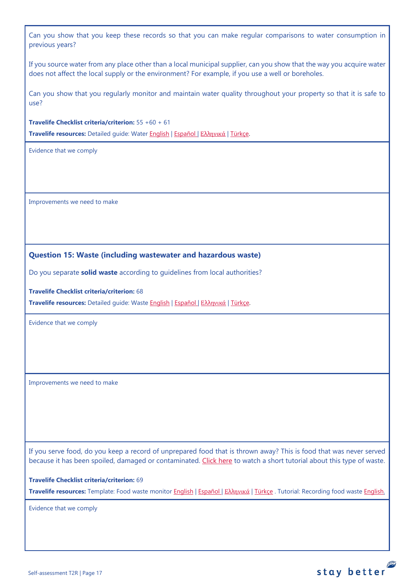Can you show that you keep these records so that you can make regular comparisons to water consumption in previous years?

If you source water from any place other than a local municipal supplier, can you show that the way you acquire water does not affect the local supply or the environment? For example, if you use a well or boreholes.

Can you show that you regularly monitor and maintain water quality throughout your property so that it is safe to use?

**Travelife Checklist criteria/criterion:** 55 +60 + 61

**Travelife resources:** Detailed guide: Water [English](https://travelifestaybetter.com/wp-content/uploads/2019/02/18-Detailed-Guide-Water.pdf) | [Español](https://travelifestaybetter.com/wp-content/uploads/2019/02/18-ES-Detailed-Guide-Water.pdf) | Ελλ[ηνικά](https://travelifestaybetter.com/wp-content/uploads/2020/11/18-GR-Detailed-Guide-Water.pdf) | [Türkçe.](https://travelifestaybetter.com/wp-content/uploads/2021/01/18-Detailed-Guide-Water-TR-Su-Detayli-Kilavuz.pdf)

Evidence that we comply

Improvements we need to make

## <span id="page-16-0"></span>**Question 15: Waste (including wastewater and hazardous waste)**

Do you separate **solid waste** according to guidelines from local authorities?

**Travelife Checklist criteria/criterion:** 68

**Travelife resources:** Detailed guide: Waste [English](https://travelifestaybetter.com/wp-content/uploads/2019/02/19-Detailed-Guide-Waste.pdf) | [Español](https://travelifestaybetter.com/wp-content/uploads/2019/02/19-ES-Detailed-Guide-Waste.pdf) | Ελλ[ηνικά](https://travelifestaybetter.com/wp-content/uploads/2021/01/19-GR-Detailed-Guide-Waste.pdf) | [Türkçe.](https://travelifestaybetter.com/wp-content/uploads/2021/01/19-Detailed-Guide-Waste-TR-Atik-Detayli-Kilavuz.pdf)

Evidence that we comply

Improvements we need to make

If you serve food, do you keep a record of unprepared food that is thrown away? This is food that was never served because it has been spoiled, damaged or contaminated. [Click here](https://travelifestaybetter.com/wp-content/uploads/2020/05/Travelife-Tutorial-Recording-Food-Waste.mp4) to watch a short tutorial about this type of waste.

**Travelife Checklist criteria/criterion:** 69

**Travelife resources:** Template: Food waste monitor [English](https://travelifestaybetter.com/wp-content/uploads/2019/03/19-Food-Waste-Monitoring-Template.xlsx) | [Español](https://travelifestaybetter.com/wp-content/uploads/2019/09/19-ES-Food-Waste-Monitoring-Template.xlsx) | Ελλ[ηνικά](https://travelifestaybetter.com/19-gr-food-waste-monitoring-template/) | [Türkçe](https://travelifestaybetter.com/wp-content/uploads/2020/07/19-Food-Waste-Monitoring-Template-TR-G%C4%B1da-At%C4%B1k-Takip-%C5%9Eablonu.xlsx) . Tutorial: Recording food waste [English.](https://travelifestaybetter.com/wp-content/uploads/2020/05/Travelife-Tutorial-Recording-Food-Waste.mp4)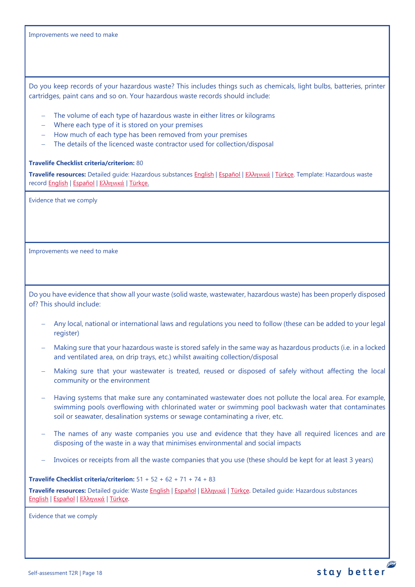Improvements we need to make

Do you keep records of your hazardous waste? This includes things such as chemicals, light bulbs, batteries, printer cartridges, paint cans and so on. Your hazardous waste records should include:

- − The volume of each type of hazardous waste in either litres or kilograms
- − Where each type of it is stored on your premises
- − How much of each type has been removed from your premises
- The details of the licenced waste contractor used for collection/disposal

### **Travelife Checklist criteria/criterion:** 80

**Travelife resources:** Detailed guide: Hazardous substances [English](https://travelifestaybetter.com/wp-content/uploads/2019/02/20-Detailed-Guide-Hazardous-Substances.pdf) | [Español](https://travelifestaybetter.com/wp-content/uploads/2019/02/20-ES-Detailed-Guide-Hazardous-Substances.pdf) | Ελλ[ηνικά](https://travelifestaybetter.com/wp-content/uploads/2021/01/20-GR-Detailed-Guide-Hazardous-Substances.pdf) | [Türkçe.](https://travelifestaybetter.com/wp-content/uploads/2021/01/20-Detailed-Guide-Hazardous-Substances-TR-Tehlikeli-Maddeler-Detayli-Kilavuz.pdf) Template: Hazardous waste recor[d English](https://travelifestaybetter.com/wp-content/uploads/2019/03/20-Template-Hazardous-Waste-Record.xlsx) | [Español](https://travelifestaybetter.com/wp-content/uploads/2019/09/20-ES-Template-Hazardous-Waste-Record.xlsx) | Ελλ[ηνικά](https://travelifestaybetter.com/20-gr-template-hazardous-waste-record/) | [Türkçe.](https://travelifestaybetter.com/wp-content/uploads/2020/07/20-Template-Hazardous-Waste-Record-TR-Tehlikeli-At%C4%B1k-Kay%C4%B1t-%C5%9Eablonu.xlsx)

Evidence that we comply

Improvements we need to make

Do you have evidence that show all your waste (solid waste, wastewater, hazardous waste) has been properly disposed of? This should include:

- − Any local, national or international laws and regulations you need to follow (these can be added to your legal register)
- − Making sure that your hazardous waste is stored safely in the same way as hazardous products (i.e. in a locked and ventilated area, on drip trays, etc.) whilst awaiting collection/disposal
- − Making sure that your wastewater is treated, reused or disposed of safely without affecting the local community or the environment
- − Having systems that make sure any contaminated wastewater does not pollute the local area. For example, swimming pools overflowing with chlorinated water or swimming pool backwash water that contaminates soil or seawater, desalination systems or sewage contaminating a river, etc.
- The names of any waste companies you use and evidence that they have all required licences and are disposing of the waste in a way that minimises environmental and social impacts
- Invoices or receipts from all the waste companies that you use (these should be kept for at least 3 years)

**Travelife Checklist criteria/criterion:** 51 + 52 + 62 + 71 + 74 + 83

**Travelife resources:** Detailed guide: Waste [English](https://travelifestaybetter.com/wp-content/uploads/2019/02/19-Detailed-Guide-Waste.pdf) | [Español](https://travelifestaybetter.com/wp-content/uploads/2019/02/19-ES-Detailed-Guide-Waste.pdf) | Ε[λλ](https://travelifestaybetter.com/wp-content/uploads/2021/01/19-GR-Detailed-Guide-Waste.pdf)[ηνικά](https://travelifestaybetter.com/wp-content/uploads/2021/01/19-GR-Detailed-Guide-Waste.pdf) | [Türkçe.](https://travelifestaybetter.com/wp-content/uploads/2021/01/19-Detailed-Guide-Waste-TR-Atik-Detayli-Kilavuz.pdf) Detailed guide: Hazardous substances [English](https://travelifestaybetter.com/wp-content/uploads/2019/02/20-Detailed-Guide-Hazardous-Substances.pdf) | [Español](https://travelifestaybetter.com/wp-content/uploads/2019/02/20-ES-Detailed-Guide-Hazardous-Substances.pdf) | Ελλ[ηνικά](https://travelifestaybetter.com/wp-content/uploads/2021/01/20-GR-Detailed-Guide-Hazardous-Substances.pdf) | [Türkçe.](https://travelifestaybetter.com/wp-content/uploads/2021/01/20-Detailed-Guide-Hazardous-Substances-TR-Tehlikeli-Maddeler-Detayli-Kilavuz.pdf)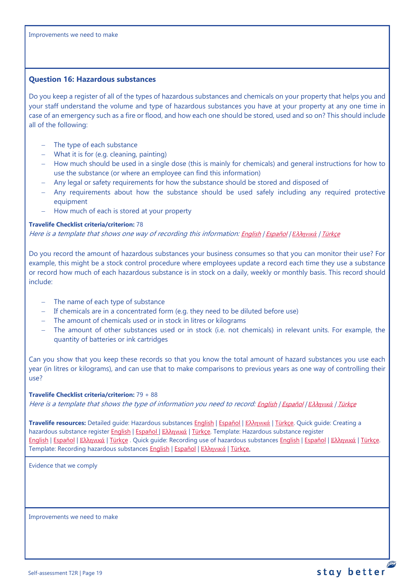### <span id="page-18-0"></span>**Question 16: Hazardous substances**

Do you keep a register of all of the types of hazardous substances and chemicals on your property that helps you and your staff understand the volume and type of hazardous substances you have at your property at any one time in case of an emergency such as a fire or flood, and how each one should be stored, used and so on? This should include all of the following:

- The type of each substance
- − What it is for (e.g. cleaning, painting)
- − How much should be used in a single dose (this is mainly for chemicals) and general instructions for how to use the substance (or where an employee can find this information)
- − Any legal or safety requirements for how the substance should be stored and disposed of
- − Any requirements about how the substance should be used safely including any required protective equipment
- − How much of each is stored at your property

### **Travelife Checklist criteria/criterion:** 78

Here is a template that shows one way of recording this information: [English](https://travelifestaybetter.com/wp-content/uploads/2019/02/20-Member-Template-Hazardous-Substance-Register.xlsx) | [Español](https://travelifestaybetter.com/wp-content/uploads/2019/02/20-ES-Member-Template-Hazardous-Substance-Register.xlsx) | *Ε*λλ*[ηνικά](https://travelifestaybetter.com/20-gr-member-template-hazardous-substance-register/)* | [Türkçe](https://travelifestaybetter.com/wp-content/uploads/2020/07/20-Member-Template-Hazardous-Substance-Register-TR-Tehlikeli-Madde-Kayd%C4%B1-%C3%9Cye-%C5%9Eablonu.xlsx)

Do you record the amount of hazardous substances your business consumes so that you can monitor their use? For example, this might be a stock control procedure where employees update a record each time they use a substance or record how much of each hazardous substance is in stock on a daily, weekly or monthly basis. This record should include:

- − The name of each type of substance
- − If chemicals are in a concentrated form (e.g. they need to be diluted before use)
- − The amount of chemicals used or in stock in litres or kilograms
- − The amount of other substances used or in stock (i.e. not chemicals) in relevant units. For example, the quantity of batteries or ink cartridges

Can you show that you keep these records so that you know the total amount of hazard substances you use each year (in litres or kilograms), and can use that to make comparisons to previous years as one way of controlling their use?

### **Travelife Checklist criteria/criterion:** 79 + 88

Here is a template that shows the type of information you need to record: [English](https://travelifestaybetter.com/wp-content/uploads/2019/02/20-Member-Template-Recording-Use-of-Hazardous-Substances.xlsx) | [Español](https://travelifestaybetter.com/wp-content/uploads/2019/02/20-ES-Member-Template-Recording-Use-of-Hazardous-Substances.xlsx) | *Ε*λλ*[ηνικά](https://travelifestaybetter.com/wp-content/uploads/2019/08/20-GR-Member-Template-Recording-Use-of-Hazardous-Substances.xlsx)* | [Türkçe](https://travelifestaybetter.com/wp-content/uploads/2020/07/20-Member-Template-Recording-Use-of-Hazardous-Substances-TR-Tehlikeli-Madde-Kullan%C4%B1m-Kayd%C4%B1-%C3%9Cye-%C5%9Eablonu.xlsx)

**Travelife resources:** Detailed guide: Hazardous substances [English](https://travelifestaybetter.com/wp-content/uploads/2019/02/20-Detailed-Guide-Hazardous-Substances.pdf) | [Español](https://travelifestaybetter.com/wp-content/uploads/2019/02/20-ES-Detailed-Guide-Hazardous-Substances.pdf) | Ελλ[ηνικά](https://travelifestaybetter.com/wp-content/uploads/2021/01/20-GR-Detailed-Guide-Hazardous-Substances.pdf) | [Türkçe.](https://travelifestaybetter.com/wp-content/uploads/2021/01/20-Detailed-Guide-Hazardous-Substances-TR-Tehlikeli-Maddeler-Detayli-Kilavuz.pdf) Quick guide: Creating a hazardous substance register [English](https://travelifestaybetter.com/wp-content/uploads/2019/02/20-Quick-Guide-Creating-a-Hazardous-Substance-Register.pdf) | [Español](https://travelifestaybetter.com/wp-content/uploads/2019/02/20-ES-Quick-Guide-Creating-a-Hazardous-Substance-Register.pdf) | Ελλ[ηνικά](https://travelifestaybetter.com/wp-content/uploads/2020/01/19-Quick-Guide-Creating-a-Hazardous-Substance-Register-GR.pdf) | [Türkçe.](https://travelifestaybetter.com/wp-content/uploads/2020/10/20-Quick-Guide-Creating-a-Hazardous-Substance-Register-TR-Tehlikeli-Madde-Kaydi-Olusturmak-icin-Hizli-Kilavuz.pdf) Template: Hazardous substance register [English](https://travelifestaybetter.com/wp-content/uploads/2019/02/20-Member-Template-Hazardous-Substance-Register.xlsx) | [Español](https://travelifestaybetter.com/wp-content/uploads/2019/02/20-ES-Member-Template-Hazardous-Substance-Register.xlsx) | Ελλ[ηνικά](https://travelifestaybetter.com/20-gr-member-template-hazardous-substance-register/) | [Türkçe](https://travelifestaybetter.com/wp-content/uploads/2020/07/20-Member-Template-Hazardous-Substance-Register-TR-Tehlikeli-Madde-Kayd%C4%B1-%C3%9Cye-%C5%9Eablonu.xlsx) . Quick guide: Recording use of hazardous substance[s English](https://travelifestaybetter.com/wp-content/uploads/2019/02/20-Quick-Guide-Recording-Use-of-Hazardous-Substances.pdf) | [Español](https://travelifestaybetter.com/wp-content/uploads/2019/02/20-ES-Quick-Guide-Recording-Use-of-Hazardous-Substances.pdf) | Ελλ[ηνικά](https://travelifestaybetter.com/wp-content/uploads/2020/01/20-Quick-Guide-Recording-Use-of-Hazardous-Substances-GR.pdf) | [Türkçe.](https://travelifestaybetter.com/wp-content/uploads/2020/10/20-Quick-Guide-Recording-Use-of-Hazardous-Substances-TR-Tehlikeli-Maddelerin-Kullaniminin-Kaydi-icin-Hizli-Kilavuz.pdf) Template: Recording hazardous substances [English](https://travelifestaybetter.com/wp-content/uploads/2019/02/20-Member-Template-Recording-Use-of-Hazardous-Substances.xlsx) | [Español](https://travelifestaybetter.com/wp-content/uploads/2019/02/20-ES-Member-Template-Recording-Use-of-Hazardous-Substances.xlsx) | Ελλ[ηνικά](https://travelifestaybetter.com/20-gr-member-template-recording-use-of-hazardous-substances/) | [Türkçe.](https://travelifestaybetter.com/wp-content/uploads/2020/07/20-Member-Template-Recording-Use-of-Hazardous-Substances-TR-Tehlikeli-Madde-Kullan%C4%B1m-Kayd%C4%B1-%C3%9Cye-%C5%9Eablonu.xlsx)

Evidence that we comply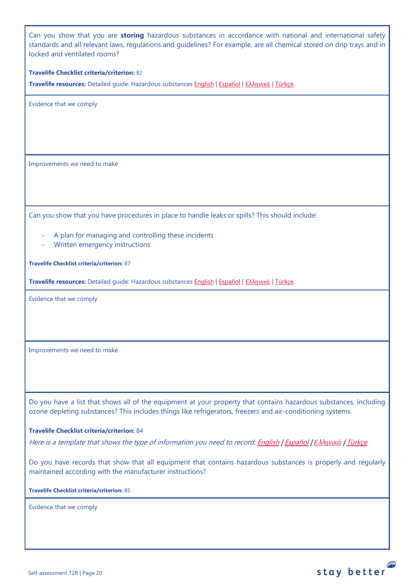Can you show that you are **storing** hazardous substances in accordance with national and international safety standards and all relevant laws, regulations and guidelines? For example, are all chemical stored on drip trays and in locked and ventilated rooms?

### **Travelife Checklist criteria/criterion:** 82

**Travelife resources:** Detailed guide: Hazardous substances [English](https://travelifestaybetter.com/wp-content/uploads/2019/02/20-Detailed-Guide-Hazardous-Substances.pdf) | [Español](https://travelifestaybetter.com/wp-content/uploads/2019/02/20-ES-Detailed-Guide-Hazardous-Substances.pdf) | Ελλ[ηνικά](https://travelifestaybetter.com/wp-content/uploads/2021/01/20-GR-Detailed-Guide-Hazardous-Substances.pdf) | [Türkçe.](https://travelifestaybetter.com/wp-content/uploads/2021/01/20-Detailed-Guide-Hazardous-Substances-TR-Tehlikeli-Maddeler-Detayli-Kilavuz.pdf)

Evidence that we comply

Improvements we need to make

Can you show that you have procedures in place to handle leaks or spills? This should include:

- A plan for managing and controlling these incidents
- − Written emergency instructions

**Travelife Checklist criteria/criterion:** 87

**Travelife resources:** Detailed guide: Hazardous substances [English](https://travelifestaybetter.com/wp-content/uploads/2019/02/20-Detailed-Guide-Hazardous-Substances.pdf) | [Español](https://travelifestaybetter.com/wp-content/uploads/2019/02/20-ES-Detailed-Guide-Hazardous-Substances.pdf) | Ελλ[ηνικά](https://travelifestaybetter.com/wp-content/uploads/2021/01/20-GR-Detailed-Guide-Hazardous-Substances.pdf) | [Türkçe.](https://travelifestaybetter.com/wp-content/uploads/2021/01/20-Detailed-Guide-Hazardous-Substances-TR-Tehlikeli-Maddeler-Detayli-Kilavuz.pdf)

Evidence that we comply

Improvements we need to make

Do you have a list that shows all of the equipment at your property that contains hazardous substances, including ozone depleting substances? This includes things like refrigerators, freezers and air-conditioning systems.

#### **Travelife Checklist criteria/criterion:** 84

Here is a template that shows the type of information you need to record[: English](https://travelifestaybetter.com/wp-content/uploads/2019/03/20-Template-List-of-Equipment-with-Hazardous-Substances.xlsx) | [Español](https://travelifestaybetter.com/wp-content/uploads/2020/08/20-ES-Template-List-of-Equipment-with-Hazardous-Substances.xlsx) | *Ε*λλ*[ηνικά](https://travelifestaybetter.com/wp-content/uploads/2019/08/20-GR-Template-List-of-Equipment-with-Hazardous-Substances_GR.xlsx)* | [Türkçe](https://travelifestaybetter.com/wp-content/uploads/2020/07/20-Template-List-of-Equipment-with-Hazardous-Substances-TR-Tehlikeli-Madde-i%C3%A7eren-Ekipman-Listesi-%C5%9Eablonu.xlsx)

Do you have records that show that all equipment that contains hazardous substances is properly and regularly maintained according with the manufacturer instructions?

stay better

**Travelife Checklist criteria/criterion:** 85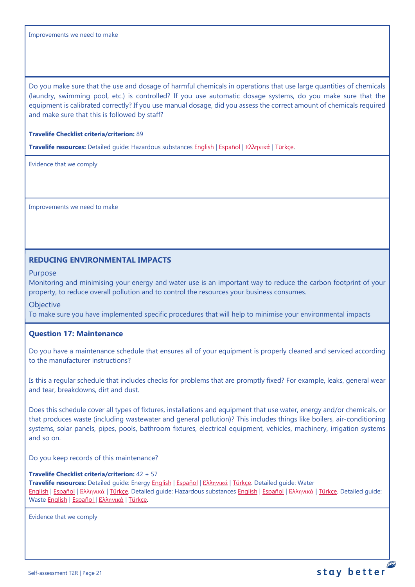Improvements we need to make

Do you make sure that the use and dosage of harmful chemicals in operations that use large quantities of chemicals (laundry, swimming pool, etc.) is controlled? If you use automatic dosage systems, do you make sure that the equipment is calibrated correctly? If you use manual dosage, did you assess the correct amount of chemicals required and make sure that this is followed by staff?

## **Travelife Checklist criteria/criterion:** 89

**Travelife resources:** Detailed guide: Hazardous substances [English](https://travelifestaybetter.com/wp-content/uploads/2019/02/20-Detailed-Guide-Hazardous-Substances.pdf) | [Español](https://travelifestaybetter.com/wp-content/uploads/2019/02/20-ES-Detailed-Guide-Hazardous-Substances.pdf) | Ελλ[ηνικά](https://travelifestaybetter.com/wp-content/uploads/2021/01/20-GR-Detailed-Guide-Hazardous-Substances.pdf) | [Türkçe.](https://travelifestaybetter.com/wp-content/uploads/2021/01/20-Detailed-Guide-Hazardous-Substances-TR-Tehlikeli-Maddeler-Detayli-Kilavuz.pdf)

Evidence that we comply

Improvements we need to make

## **REDUCING ENVIRONMENTAL IMPACTS**

Purpose

Monitoring and minimising your energy and water use is an important way to reduce the carbon footprint of your property, to reduce overall pollution and to control the resources your business consumes.

**Objective** 

To make sure you have implemented specific procedures that will help to minimise your environmental impacts

## <span id="page-20-0"></span>**Question 17: Maintenance**

Do you have a maintenance schedule that ensures all of your equipment is properly cleaned and serviced according to the manufacturer instructions?

Is this a regular schedule that includes checks for problems that are promptly fixed? For example, leaks, general wear and tear, breakdowns, dirt and dust.

Does this schedule cover all types of fixtures, installations and equipment that use water, energy and/or chemicals, or that produces waste (including wastewater and general pollution)? This includes things like boilers, air-conditioning systems, solar panels, pipes, pools, bathroom fixtures, electrical equipment, vehicles, machinery, irrigation systems and so on.

Do you keep records of this maintenance?

**Travelife Checklist criteria/criterion:** 42 + 57 **Travelife resources:** Detailed guide: Energy [English](https://travelifestaybetter.com/wp-content/uploads/2019/02/17-Detailed-Guide-Energy.pdf) | [Español](https://travelifestaybetter.com/wp-content/uploads/2019/02/17-ES-Detailed-Guide-Energy.pdf) | Ελλ[ηνικά](https://travelifestaybetter.com/wp-content/uploads/2020/11/17-GR-Detailed-Guide-Energy.pdf) | [Türkçe.](https://travelifestaybetter.com/wp-content/uploads/2021/01/17-Detailed-Guide-Energy-TR-Enerji-Detayli-Kilavuz.pdf) Detailed guide: Water [English](https://travelifestaybetter.com/wp-content/uploads/2019/02/18-Detailed-Guide-Water.pdf) | [Español](https://travelifestaybetter.com/wp-content/uploads/2019/02/18-ES-Detailed-Guide-Water.pdf) | Ελλ[ηνικά](https://travelifestaybetter.com/wp-content/uploads/2020/11/18-GR-Detailed-Guide-Water.pdf) | [Türkçe.](https://travelifestaybetter.com/wp-content/uploads/2021/01/18-Detailed-Guide-Water-TR-Su-Detayli-Kilavuz.pdf) Detailed guide: Hazardous substances [English](https://travelifestaybetter.com/wp-content/uploads/2019/02/20-Detailed-Guide-Hazardous-Substances.pdf) | [Español](https://travelifestaybetter.com/wp-content/uploads/2019/02/20-ES-Detailed-Guide-Hazardous-Substances.pdf) | Ελλ[ηνικά](https://travelifestaybetter.com/wp-content/uploads/2021/01/20-GR-Detailed-Guide-Hazardous-Substances.pdf) | [Türkçe.](https://travelifestaybetter.com/wp-content/uploads/2021/01/20-Detailed-Guide-Hazardous-Substances-TR-Tehlikeli-Maddeler-Detayli-Kilavuz.pdf) Detailed guide: Waste [English](https://travelifestaybetter.com/wp-content/uploads/2019/02/19-Detailed-Guide-Waste.pdf) | [Español](https://travelifestaybetter.com/wp-content/uploads/2019/02/19-ES-Detailed-Guide-Waste.pdf) | Ελλ[ηνικά](https://travelifestaybetter.com/wp-content/uploads/2021/01/19-GR-Detailed-Guide-Waste.pdf) | [Türkçe.](https://travelifestaybetter.com/wp-content/uploads/2021/01/19-Detailed-Guide-Waste-TR-Atik-Detayli-Kilavuz.pdf)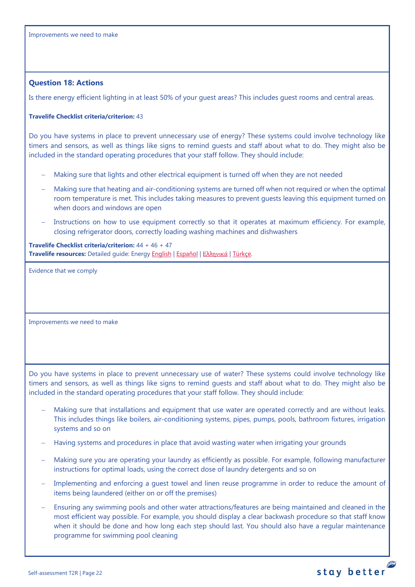### <span id="page-21-1"></span><span id="page-21-0"></span>**Question 18: Actions**

Is there energy efficient lighting in at least 50% of your guest areas? This includes guest rooms and central areas.

### **Travelife Checklist criteria/criterion:** 43

Do you have systems in place to prevent unnecessary use of energy? These systems could involve technology like timers and sensors, as well as things like signs to remind guests and staff about what to do. They might also be included in the standard operating procedures that your staff follow. They should include:

- Making sure that lights and other electrical equipment is turned off when they are not needed
- − Making sure that heating and air-conditioning systems are turned off when not required or when the optimal room temperature is met. This includes taking measures to prevent guests leaving this equipment turned on when doors and windows are open
- Instructions on how to use equipment correctly so that it operates at maximum efficiency. For example, closing refrigerator doors, correctly loading washing machines and dishwashers

**Travelife Checklist criteria/criterion:** 44 + 46 + 47 **Travelife resources:** Detailed guide: Energy [English](https://travelifestaybetter.com/wp-content/uploads/2019/02/17-Detailed-Guide-Energy.pdf) | [Español](https://travelifestaybetter.com/wp-content/uploads/2019/02/17-ES-Detailed-Guide-Energy.pdf) | Ελλ[ηνικά](https://travelifestaybetter.com/wp-content/uploads/2020/11/17-GR-Detailed-Guide-Energy.pdf) | [Türkçe.](https://travelifestaybetter.com/wp-content/uploads/2021/01/17-Detailed-Guide-Energy-TR-Enerji-Detayli-Kilavuz.pdf)

Evidence that we comply

Improvements we need to make

Do you have systems in place to prevent unnecessary use of water? These systems could involve technology like timers and sensors, as well as things like signs to remind guests and staff about what to do. They might also be included in the standard operating procedures that your staff follow. They should include:

- Making sure that installations and equipment that use water are operated correctly and are without leaks. This includes things like boilers, air-conditioning systems, pipes, pumps, pools, bathroom fixtures, irrigation systems and so on
- − Having systems and procedures in place that avoid wasting water when irrigating your grounds
- − Making sure you are operating your laundry as efficiently as possible. For example, following manufacturer instructions for optimal loads, using the correct dose of laundry detergents and so on
- Implementing and enforcing a guest towel and linen reuse programme in order to reduce the amount of items being laundered (either on or off the premises)
- Ensuring any swimming pools and other water attractions/features are being maintained and cleaned in the most efficient way possible. For example, you should display a clear backwash procedure so that staff know when it should be done and how long each step should last. You should also have a regular maintenance programme for swimming pool cleaning

stay better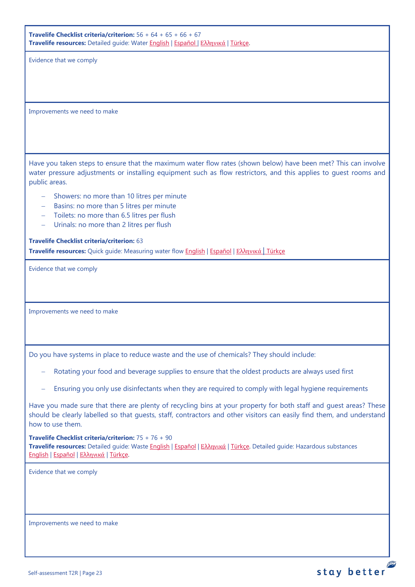**Travelife Checklist criteria/criterion:** 56 + 64 + 65 + 66 + 67 **Travelife resources:** Detailed guide: Wate[r English](https://travelifestaybetter.com/wp-content/uploads/2019/02/18-Detailed-Guide-Water.pdf) | [Español](https://travelifestaybetter.com/wp-content/uploads/2019/02/18-ES-Detailed-Guide-Water.pdf) | Ελλ[ηνικά](https://travelifestaybetter.com/wp-content/uploads/2020/11/18-GR-Detailed-Guide-Water.pdf) | [Türkçe.](https://travelifestaybetter.com/wp-content/uploads/2021/01/18-Detailed-Guide-Water-TR-Su-Detayli-Kilavuz.pdf)

Evidence that we comply

Improvements we need to make

Have you taken steps to ensure that the maximum water flow rates (shown below) have been met? This can involve water pressure adjustments or installing equipment such as flow restrictors, and this applies to guest rooms and public areas.

- − Showers: no more than 10 litres per minute
- − Basins: no more than 5 litres per minute
- − Toilets: no more than 6.5 litres per flush
- − Urinals: no more than 2 litres per flush

**Travelife Checklist criteria/criterion:** 63

**Travelife resources:** Quick guide: Measuring water flow [English](https://travelifestaybetter.com/wp-content/uploads/2019/02/18-Quick-Guide-Measuring-Water-Flow.pdf) | [Español](https://travelifestaybetter.com/wp-content/uploads/2019/02/18-ES-Quick-Guide-Measuring-Water-Flow.pdf) | Ελλ[ηνικά](https://travelifestaybetter.com/wp-content/uploads/2020/01/16-Quick-Guide-Measuring-Water-Flow-GR.pdf) | [Türkçe](https://travelifestaybetter.com/wp-content/uploads/2020/10/18-Quick-Guide-Measuring-Water-Flow-TR-Su-Debisinin-Olculmesi-icin-Hizli-Kilavuz.pdf)

Evidence that we comply

Improvements we need to make

Do you have systems in place to reduce waste and the use of chemicals? They should include:

- Rotating your food and beverage supplies to ensure that the oldest products are always used first
- Ensuring you only use disinfectants when they are required to comply with legal hygiene requirements

Have you made sure that there are plenty of recycling bins at your property for both staff and guest areas? These should be clearly labelled so that guests, staff, contractors and other visitors can easily find them, and understand how to use them.

**Travelife Checklist criteria/criterion:** 75 + 76 + 90 **Travelife resources:** Detailed guide: Waste [English](https://travelifestaybetter.com/wp-content/uploads/2019/02/19-Detailed-Guide-Waste.pdf) | [Español](https://travelifestaybetter.com/wp-content/uploads/2019/02/19-ES-Detailed-Guide-Waste.pdf) | Ελλ[ηνικά](https://travelifestaybetter.com/wp-content/uploads/2021/01/19-GR-Detailed-Guide-Waste.pdf) | [Türkçe.](https://travelifestaybetter.com/wp-content/uploads/2021/01/19-Detailed-Guide-Waste-TR-Atik-Detayli-Kilavuz.pdf) Detailed guide: Hazardous substances [English](https://travelifestaybetter.com/wp-content/uploads/2019/02/20-Detailed-Guide-Hazardous-Substances.pdf) | [Español](https://travelifestaybetter.com/wp-content/uploads/2019/02/20-ES-Detailed-Guide-Hazardous-Substances.pdf) | Ελλ[ηνικά](https://travelifestaybetter.com/wp-content/uploads/2021/01/20-GR-Detailed-Guide-Hazardous-Substances.pdf) | [Türkçe.](https://travelifestaybetter.com/wp-content/uploads/2021/01/20-Detailed-Guide-Hazardous-Substances-TR-Tehlikeli-Maddeler-Detayli-Kilavuz.pdf)

Evidence that we comply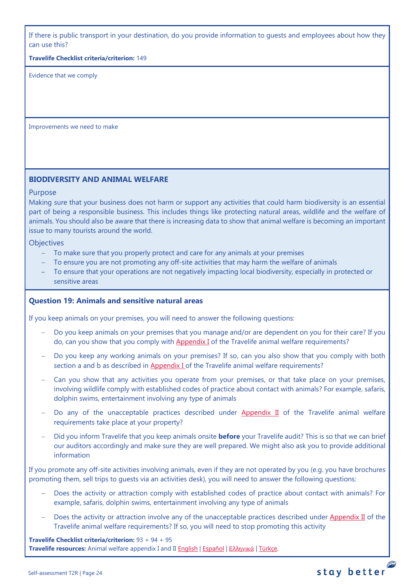If there is public transport in your destination, do you provide information to guests and employees about how they can use this?

**Travelife Checklist criteria/criterion:** 149

Evidence that we comply

Improvements we need to make

# **BIODIVERSITY AND ANIMAL WELFARE**

### Purpose

Making sure that your business does not harm or support any activities that could harm biodiversity is an essential part of being a responsible business. This includes things like protecting natural areas, wildlife and the welfare of animals. You should also be aware that there is increasing data to show that animal welfare is becoming an important issue to many tourists around the world.

**Objectives** 

- − To make sure that you properly protect and care for any animals at your premises
- To ensure you are not promoting any off-site activities that may harm the welfare of animals
- − To ensure that your operations are not negatively impacting local biodiversity, especially in protected or sensitive areas

## <span id="page-23-0"></span>**Question 19: Animals and sensitive natural areas**

If you keep animals on your premises, you will need to answer the following questions:

- Do you keep animals on your premises that you manage and/or are dependent on you for their care? If you do, can you show that you comply wit[h Appendix I](https://travelifestaybetter.com/travelife-standard-checklists/) of the Travelife animal welfare requirements?
- Do you keep any working animals on your premises? If so, can you also show that you comply with both section a and b as described in [Appendix I o](https://travelifestaybetter.com/travelife-standard-checklists/)f the Travelife animal welfare requirements?
- Can you show that any activities you operate from your premises, or that take place on your premises, involving wildlife comply with established codes of practice about contact with animals? For example, safaris, dolphin swims, entertainment involving any type of animals
- Do any of the unacceptable practices described under [Appendix II](https://travelifestaybetter.com/travelife-standard-checklists/) of the Travelife animal welfare requirements take place at your property?
- − Did you inform Travelife that you keep animals onsite **before** your Travelife audit? This is so that we can brief our auditors accordingly and make sure they are well prepared. We might also ask you to provide additional information

If you promote any off-site activities involving animals, even if they are not operated by you (e.g. you have brochures promoting them, sell trips to guests via an activities desk), you will need to answer the following questions:

- − Does the activity or attraction comply with established codes of practice about contact with animals? For example, safaris, dolphin swims, entertainment involving any type of animals
- Does the activity or attraction involve any of the unacceptable practices described under [Appendix II](https://travelifestaybetter.com/travelife-standard-checklists/) of the Travelife animal welfare requirements? If so, you will need to stop promoting this activity

**Travelife Checklist criteria/criterion:** 93 + 94 + 95 **Travelife resources:** Animal welfare appendix I and II [English](https://travelifestaybetter.com/wp-content/uploads/2020/12/Appendix-I-and-II-Animal-Welfare-Version-3.0-EN.pdf) | [Español](https://travelifestaybetter.com/wp-content/uploads/2020/12/Appendix-I-and-II-Animal-Welfare-Version-3.0-ES.pdf) | Ελλ[ηνικά](https://travelifestaybetter.com/wp-content/uploads/2020/12/GR-Appendix-I-and-II-Animal-Welfare-Version-3.0.pdf) | [Türkçe.](https://travelifestaybetter.com/wp-content/uploads/2020/12/Appendix-I-and-II-Animal-Welfare-Version-3.0-TR.pdf)

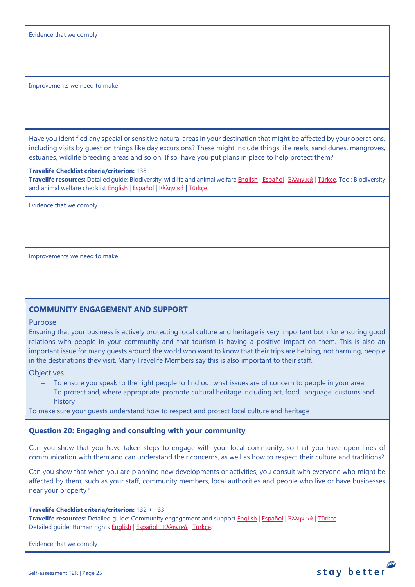Evidence that we comply

<span id="page-24-0"></span>Improvements we need to make

Have you identified any special or sensitive natural areas in your destination that might be affected by your operations, including visits by guest on things like day excursions? These might include things like reefs, sand dunes, mangroves, estuaries, wildlife breeding areas and so on. If so, have you put plans in place to help protect them?

#### **Travelife Checklist criteria/criterion:** 138

**Travelife resources:** Detailed guide: Biodiversity, wildlife and animal welfar[e English](https://travelifestaybetter.com/wp-content/uploads/2021/01/21-Detailed-Guided-Biodiversity-and-Animal-Welfare-V2.0.pdf) | [Español](https://travelifestaybetter.com/wp-content/uploads/2021/01/21-ES-Detailed-Guided-Biodiversity-and-Animal-Welfare-V2.0.pdf) | Ελλ[ηνικά](https://travelifestaybetter.com/wp-content/uploads/2021/01/21-GR-Detailed-Guided-Biodiversity-and-Animal-Welfare.pdf) | [Türkçe.](https://travelifestaybetter.com/wp-content/uploads/2021/01/21-Detailed-Guided-Biodiversity-and-Animal-Welfare-V2.0-TR-Biyocesitlilik-ve-Hayvan-Refahi-Detayli-Kilavuz.pdf) Tool: Biodiversity and animal welfare checklist [English](https://travelifestaybetter.com/wp-content/uploads/2020/11/21-Biodiversity-and-Animal-Welfare-Checklist-V2.0.docx) | [Español](https://travelifestaybetter.com/wp-content/uploads/2020/11/21-ES-Biodiversity-and-Animal-Welfare-Checklist-V2.0.docx) | Ελλ[ηνικά](https://travelifestaybetter.com/wp-content/uploads/2021/01/21-GR-Biodiversity-and-Animal-Welfare-Checklist.docx) | [Türkçe.](https://travelifestaybetter.com/wp-content/uploads/2020/10/21-Biodiversity-and-Animal-Welfare-Checklist-July-2021-TR-Biyocesitlilik-ve-Hayvan-Refahi-Kontrol-Listesi.docx)

Evidence that we comply

Improvements we need to make

## **COMMUNITY ENGAGEMENT AND SUPPORT**

#### Purpose

Ensuring that your business is actively protecting local culture and heritage is very important both for ensuring good relations with people in your community and that tourism is having a positive impact on them. This is also an important issue for many guests around the world who want to know that their trips are helping, not harming, people in the destinations they visit. Many Travelife Members say this is also important to their staff.

**Objectives** 

- To ensure you speak to the right people to find out what issues are of concern to people in your area
- To protect and, where appropriate, promote cultural heritage including art, food, language, customs and history

To make sure your guests understand how to respect and protect local culture and heritage

### <span id="page-24-1"></span>**Question 20: Engaging and consulting with your community**

Can you show that you have taken steps to engage with your local community, so that you have open lines of communication with them and can understand their concerns, as well as how to respect their culture and traditions?

Can you show that when you are planning new developments or activities, you consult with everyone who might be affected by them, such as your staff, community members, local authorities and people who live or have businesses near your property?

#### **Travelife Checklist criteria/criterion:** 132 + 133

**Travelife resources:** Detailed guide: Community engagement and suppor[t English](https://travelifestaybetter.com/wp-content/uploads/2019/02/7-Detailed-Guide-Community-Engagement.pdf) | [Español](https://travelifestaybetter.com/wp-content/uploads/2019/02/7-ES-Detailed-Guide-Community-Engagement.pdf) | Ελλ[ηνικά](https://travelifestaybetter.com/wp-content/uploads/2020/11/7-GR-Detailed-Guide-Community-Engagement.pdf) | [Türkçe.](https://travelifestaybetter.com/wp-content/uploads/2021/01/7-Detailed-Guide-Community-Engagement-TR-Toplum-Katilimi-ve-Destegi-Detayli-Kilavuz.pdf) Detailed quide: Human rights [English](https://travelifestaybetter.com/wp-content/uploads/2021/01/8-Detailed-Guide-Human-Rights.pdf) | [Español](https://travelifestaybetter.com/wp-content/uploads/2021/01/8-ES-Detailed-Guide-Human-Rights.pdf) | Ελλ[ηνικά](https://travelifestaybetter.com/wp-content/uploads/2021/01/8-GR-Detailed-Guide-Human-Rights.pdf) | [Türkçe.](https://travelifestaybetter.com/wp-content/uploads/2021/01/8-Detailed-Guide-Human-Rights-TR-Insan-Haklari-Detayli-Kilavuz.pdf)

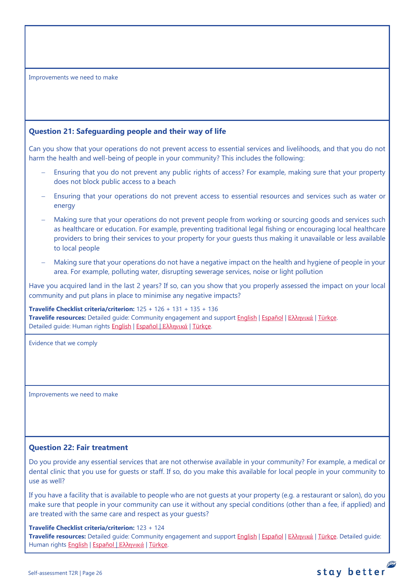<span id="page-25-0"></span>Improvements we need to make

# <span id="page-25-1"></span>**Question 21: Safeguarding people and their way of life**

Can you show that your operations do not prevent access to essential services and livelihoods, and that you do not harm the health and well-being of people in your community? This includes the following:

- Ensuring that you do not prevent any public rights of access? For example, making sure that your property does not block public access to a beach
- Ensuring that your operations do not prevent access to essential resources and services such as water or energy
- Making sure that your operations do not prevent people from working or sourcing goods and services such as healthcare or education. For example, preventing traditional legal fishing or encouraging local healthcare providers to bring their services to your property for your guests thus making it unavailable or less available to local people
- Making sure that your operations do not have a negative impact on the health and hygiene of people in your area. For example, polluting water, disrupting sewerage services, noise or light pollution

Have you acquired land in the last 2 years? If so, can you show that you properly assessed the impact on your local community and put plans in place to minimise any negative impacts?

**Travelife Checklist criteria/criterion:** 125 + 126 + 131 + 135 + 136 **Travelife resources:** Detailed guide: Community engagement and suppor[t English](https://travelifestaybetter.com/wp-content/uploads/2019/02/7-Detailed-Guide-Community-Engagement.pdf) | [Español](https://travelifestaybetter.com/wp-content/uploads/2019/02/7-ES-Detailed-Guide-Community-Engagement.pdf) | Ελλ[ηνικά](https://travelifestaybetter.com/wp-content/uploads/2020/11/7-GR-Detailed-Guide-Community-Engagement.pdf) | [Türkçe.](https://travelifestaybetter.com/wp-content/uploads/2021/01/7-Detailed-Guide-Community-Engagement-TR-Toplum-Katilimi-ve-Destegi-Detayli-Kilavuz.pdf) Detailed guide: Human rights [English](https://travelifestaybetter.com/wp-content/uploads/2021/01/8-Detailed-Guide-Human-Rights.pdf) | [Español](https://travelifestaybetter.com/wp-content/uploads/2021/01/8-ES-Detailed-Guide-Human-Rights.pdf) | Ελλ[ηνικά](https://travelifestaybetter.com/wp-content/uploads/2021/01/8-GR-Detailed-Guide-Human-Rights.pdf) | [Türkçe.](https://travelifestaybetter.com/wp-content/uploads/2021/01/8-Detailed-Guide-Human-Rights-TR-Insan-Haklari-Detayli-Kilavuz.pdf)

Evidence that we comply

Improvements we need to make

# <span id="page-25-2"></span>**Question 22: Fair treatment**

Do you provide any essential services that are not otherwise available in your community? For example, a medical or dental clinic that you use for guests or staff. If so, do you make this available for local people in your community to use as well?

If you have a facility that is available to people who are not guests at your property (e.g. a restaurant or salon), do you make sure that people in your community can use it without any special conditions (other than a fee, if applied) and are treated with the same care and respect as your guests?

**Travelife Checklist criteria/criterion:** 123 + 124

**Travelife resources:** Detailed guide: Community engagement and suppor[t English](https://travelifestaybetter.com/wp-content/uploads/2019/02/7-Detailed-Guide-Community-Engagement.pdf) | [Español](https://travelifestaybetter.com/wp-content/uploads/2019/02/7-ES-Detailed-Guide-Community-Engagement.pdf) | Ελλ[ηνικά](https://travelifestaybetter.com/wp-content/uploads/2020/11/7-GR-Detailed-Guide-Community-Engagement.pdf) | [Türkçe.](https://travelifestaybetter.com/wp-content/uploads/2021/01/7-Detailed-Guide-Community-Engagement-TR-Toplum-Katilimi-ve-Destegi-Detayli-Kilavuz.pdf) Detailed guide: Human rights [English](https://travelifestaybetter.com/wp-content/uploads/2021/01/8-Detailed-Guide-Human-Rights.pdf) | [Español](https://travelifestaybetter.com/wp-content/uploads/2021/01/8-ES-Detailed-Guide-Human-Rights.pdf) | Ελλ[ηνικά](https://travelifestaybetter.com/wp-content/uploads/2021/01/8-GR-Detailed-Guide-Human-Rights.pdf) | [Türkçe.](https://travelifestaybetter.com/wp-content/uploads/2021/01/8-Detailed-Guide-Human-Rights-TR-Insan-Haklari-Detayli-Kilavuz.pdf)

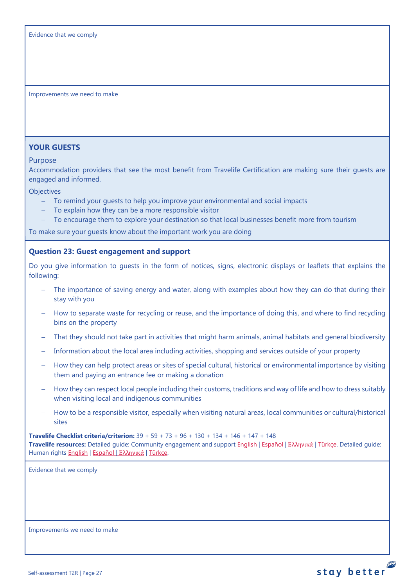Improvements we need to make

## **YOUR GUESTS**

Purpose

Accommodation providers that see the most benefit from Travelife Certification are making sure their guests are engaged and informed.

**Objectives** 

- − To remind your guests to help you improve your environmental and social impacts
- To explain how they can be a more responsible visitor
- To encourage them to explore your destination so that local businesses benefit more from tourism

To make sure your guests know about the important work you are doing

### <span id="page-26-1"></span>**Question 23: Guest engagement and support**

Do you give information to quests in the form of notices, signs, electronic displays or leaflets that explains the following:

- The importance of saving energy and water, along with examples about how they can do that during their stay with you
- − How to separate waste for recycling or reuse, and the importance of doing this, and where to find recycling bins on the property
- That they should not take part in activities that might harm animals, animal habitats and general biodiversity
- Information about the local area including activities, shopping and services outside of your property
- − How they can help protect areas or sites of special cultural, historical or environmental importance by visiting them and paying an entrance fee or making a donation
- − How they can respect local people including their customs, traditions and way of life and how to dress suitably when visiting local and indigenous communities
- − How to be a responsible visitor, especially when visiting natural areas, local communities or cultural/historical sites

**Travelife Checklist criteria/criterion:** 39 + 59 + 73 + 96 + 130 + 134 + 146 + 147 + 148 **Travelife resources:** Detailed guide: Community engagement and suppor[t English](https://travelifestaybetter.com/wp-content/uploads/2019/02/7-Detailed-Guide-Community-Engagement.pdf) | [Español](https://travelifestaybetter.com/wp-content/uploads/2019/02/7-ES-Detailed-Guide-Community-Engagement.pdf) | Ελλ[ηνικά](https://travelifestaybetter.com/wp-content/uploads/2020/11/7-GR-Detailed-Guide-Community-Engagement.pdf) | [Türkçe.](https://travelifestaybetter.com/wp-content/uploads/2021/01/7-Detailed-Guide-Community-Engagement-TR-Toplum-Katilimi-ve-Destegi-Detayli-Kilavuz.pdf) Detailed guide: Human rights [English](https://travelifestaybetter.com/wp-content/uploads/2021/01/8-Detailed-Guide-Human-Rights.pdf) | [Español](https://travelifestaybetter.com/wp-content/uploads/2021/01/8-ES-Detailed-Guide-Human-Rights.pdf) | Ελλ[ηνικά](https://travelifestaybetter.com/wp-content/uploads/2021/01/8-GR-Detailed-Guide-Human-Rights.pdf) | [Türkçe.](https://travelifestaybetter.com/wp-content/uploads/2021/01/8-Detailed-Guide-Human-Rights-TR-Insan-Haklari-Detayli-Kilavuz.pdf)

<span id="page-26-0"></span>Evidence that we comply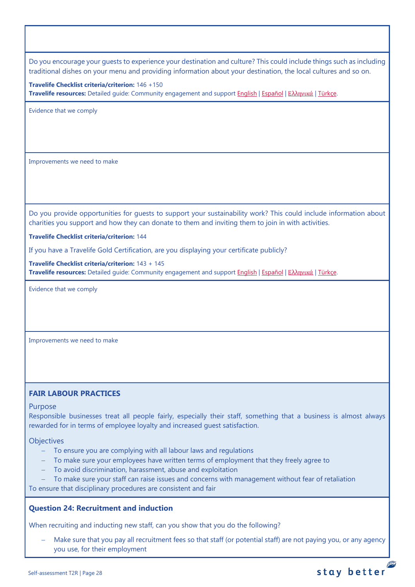Do you encourage your guests to experience your destination and culture? This could include things such as including traditional dishes on your menu and providing information about your destination, the local cultures and so on.

**Travelife Checklist criteria/criterion:** 146 +150 **Travelife resources:** Detailed guide: Community engagement and suppor[t English](https://travelifestaybetter.com/wp-content/uploads/2019/02/7-Detailed-Guide-Community-Engagement.pdf) | [Español](https://travelifestaybetter.com/wp-content/uploads/2019/02/7-ES-Detailed-Guide-Community-Engagement.pdf) | Ελλ[ηνικά](https://travelifestaybetter.com/wp-content/uploads/2020/11/7-GR-Detailed-Guide-Community-Engagement.pdf) | [Türkçe.](https://travelifestaybetter.com/wp-content/uploads/2021/01/7-Detailed-Guide-Community-Engagement-TR-Toplum-Katilimi-ve-Destegi-Detayli-Kilavuz.pdf)

Evidence that we comply

Improvements we need to make

Do you provide opportunities for guests to support your sustainability work? This could include information about charities you support and how they can donate to them and inviting them to join in with activities.

**Travelife Checklist criteria/criterion:** 144

If you have a Travelife Gold Certification, are you displaying your certificate publicly?

**Travelife Checklist criteria/criterion:** 143 + 145 **Travelife resources:** Detailed guide: Community engagement and suppor[t English](https://travelifestaybetter.com/wp-content/uploads/2019/02/7-Detailed-Guide-Community-Engagement.pdf) | [Español](https://travelifestaybetter.com/wp-content/uploads/2019/02/7-ES-Detailed-Guide-Community-Engagement.pdf) | Ελλ[ηνικά](https://travelifestaybetter.com/wp-content/uploads/2020/11/7-GR-Detailed-Guide-Community-Engagement.pdf) | [Türkçe.](https://travelifestaybetter.com/wp-content/uploads/2021/01/7-Detailed-Guide-Community-Engagement-TR-Toplum-Katilimi-ve-Destegi-Detayli-Kilavuz.pdf)

Evidence that we comply

Improvements we need to make

## **FAIR LABOUR PRACTICES**

### Purpose

Responsible businesses treat all people fairly, especially their staff, something that a business is almost always rewarded for in terms of employee loyalty and increased guest satisfaction.

**Objectives** 

- − To ensure you are complying with all labour laws and regulations
- − To make sure your employees have written terms of employment that they freely agree to
- − To avoid discrimination, harassment, abuse and exploitation
- To make sure your staff can raise issues and concerns with management without fear of retaliation

To ensure that disciplinary procedures are consistent and fair

## **Question 24: Recruitment and induction**

When recruiting and inducting new staff, can you show that you do the following?

− Make sure that you pay all recruitment fees so that staff (or potential staff) are not paying you, or any agency you use, for their employment

## P stay better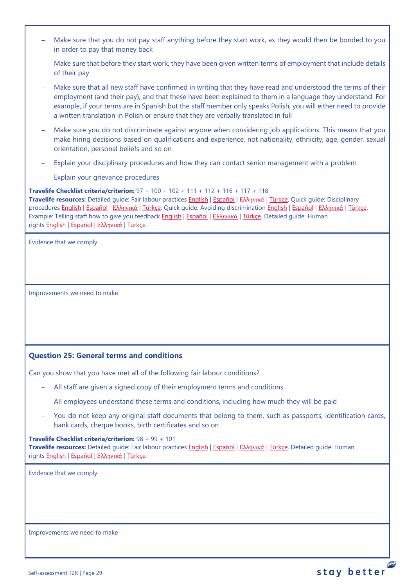- Make sure that you do not pay staff anything before they start work, as they would then be bonded to you in order to pay that money back
- Make sure that before they start work, they have been given written terms of employment that include details of their pay
- − Make sure that all new staff have confirmed in writing that they have read and understood the terms of their employment (and their pay), and that these have been explained to them in a language they understand. For example, if your terms are in Spanish but the staff member only speaks Polish, you will either need to provide a written translation in Polish or ensure that they are verbally translated in full
- Make sure you do not discriminate against anyone when considering job applications. This means that you make hiring decisions based on qualifications and experience, not nationality, ethnicity, age, gender, sexual orientation, personal beliefs and so on
- Explain your disciplinary procedures and how they can contact senior management with a problem
- Explain your grievance procedures

**Travelife Checklist criteria/criterion:** 97 + 100 + 102 + 111 + 112 + 116 + 117 + 118

**Travelife resources:** Detailed guide: Fair labour practices [English](https://travelifestaybetter.com/wp-content/uploads/2021/01/10-Detailed-Guide-Fair-Labour-Practices.pdf) | [Español](https://travelifestaybetter.com/wp-content/uploads/2021/01/10-ES-Detailed-Guide-Fair-Labour-Practices.pdf) | Ελλ[ηνικά](https://travelifestaybetter.com/wp-content/uploads/2021/01/10-GR-Detailed-Guide-Fair-Labour-Practices.pdf) | [Türkçe.](https://travelifestaybetter.com/wp-content/uploads/2021/01/10-Detailed-Guide-Fair-Labour-Practices-TR-Adil-Is-Gucu-Uygulamalari-Detayli-Kilavuz.pdf) Quick guide: Disciplinary procedures [English](https://travelifestaybetter.com/wp-content/uploads/2019/02/11-Quick-Guide-Disciplinary-Procedures.pdf) | [Español](https://travelifestaybetter.com/wp-content/uploads/2019/02/11-ES-Quick-Guide-Disciplinary-Procedures.pdf) | Ελλ[ηνικά](https://travelifestaybetter.com/wp-content/uploads/2020/07/36-Quick-Guide-Disciplinary-Procedures-GR.pdf) | [Türkçe.](https://travelifestaybetter.com/wp-content/uploads/2020/08/11-Quick-Guide-Disciplinary-Procedures-TR-11-Hizli-Kilavuz-Disiplin-Proseduru.pdf) Quick guide: Avoiding discrimination [English](https://travelifestaybetter.com/wp-content/uploads/2019/02/13-Quick-Guide-Avoiding-Workplace-Discrimination.pdf) | [Español](https://travelifestaybetter.com/wp-content/uploads/2019/02/13-ES-Quick-Guide-Avoiding-Workplace-Discrimination.pdf) | Ελλ[ηνικά](https://travelifestaybetter.com/wp-content/uploads/2020/07/38-Quick-Guide-Avoiding-Workplace-Discrimination-GR.pdf) | [Türkçe.](https://travelifestaybetter.com/wp-content/uploads/2020/10/13-Quick-Guide-Avoiding-Workplace-Discrimination-TR-Isyerinde-Ayrimciligi-Onlemek-icin-Hizli-Kilavuz.pdf) Example: Telling staff how to give you feedback [English](https://travelifestaybetter.com/wp-content/uploads/2019/02/6-Example-Feedback-Instructions-for-Staff.pdf) | [Español](https://travelifestaybetter.com/wp-content/uploads/2019/02/6-ES-Example-Feedback-Instructions-for-Staff.pdf) | Ελλ[ηνικά](https://travelifestaybetter.com/wp-content/uploads/2021/01/6-GR-Example-Feedback-Instructions-for-Staff.pdf) | [Türkçe.](https://travelifestaybetter.com/wp-content/uploads/2020/08/6-Example-Feedback-Instructions-for-Staff-TR-6-Ornek-Calisan-Geri-Bildirim-Talimati.pdf) Detailed guide: Human rights [English](https://travelifestaybetter.com/wp-content/uploads/2021/01/8-Detailed-Guide-Human-Rights.pdf) | [Español](https://travelifestaybetter.com/wp-content/uploads/2021/01/8-ES-Detailed-Guide-Human-Rights.pdf) | Ελλ[ηνικά](https://travelifestaybetter.com/wp-content/uploads/2021/01/8-GR-Detailed-Guide-Human-Rights.pdf) | [Türkçe.](https://travelifestaybetter.com/wp-content/uploads/2021/01/8-Detailed-Guide-Human-Rights-TR-Insan-Haklari-Detayli-Kilavuz.pdf)

Evidence that we comply

<span id="page-28-0"></span>Improvements we need to make

# <span id="page-28-1"></span>**Question 25: General terms and conditions**

Can you show that you have met all of the following fair labour conditions?

- − All staff are given a signed copy of their employment terms and conditions
- − All employees understand these terms and conditions, including how much they will be paid
- You do not keep any original staff documents that belong to them, such as passports, identification cards, bank cards, cheque books, birth certificates and so on

# **Travelife Checklist criteria/criterion:** 98 + 99 + 101

**Travelife resources:** Detailed guide: Fair labour practices [English](https://travelifestaybetter.com/wp-content/uploads/2021/01/10-Detailed-Guide-Fair-Labour-Practices.pdf) | [Español](https://travelifestaybetter.com/wp-content/uploads/2021/01/10-ES-Detailed-Guide-Fair-Labour-Practices.pdf) | Ελλ[ηνικά](https://travelifestaybetter.com/wp-content/uploads/2021/01/10-GR-Detailed-Guide-Fair-Labour-Practices.pdf) | [Türkçe.](https://travelifestaybetter.com/wp-content/uploads/2021/01/10-Detailed-Guide-Fair-Labour-Practices-TR-Adil-Is-Gucu-Uygulamalari-Detayli-Kilavuz.pdf) Detailed guide: Human rights [English](https://travelifestaybetter.com/wp-content/uploads/2021/01/8-Detailed-Guide-Human-Rights.pdf) | [Español](https://travelifestaybetter.com/wp-content/uploads/2021/01/8-ES-Detailed-Guide-Human-Rights.pdf) | Ελλ[ηνικά](https://travelifestaybetter.com/wp-content/uploads/2021/01/8-GR-Detailed-Guide-Human-Rights.pdf) | [Türkçe.](https://travelifestaybetter.com/wp-content/uploads/2021/01/8-Detailed-Guide-Human-Rights-TR-Insan-Haklari-Detayli-Kilavuz.pdf)

Evidence that we comply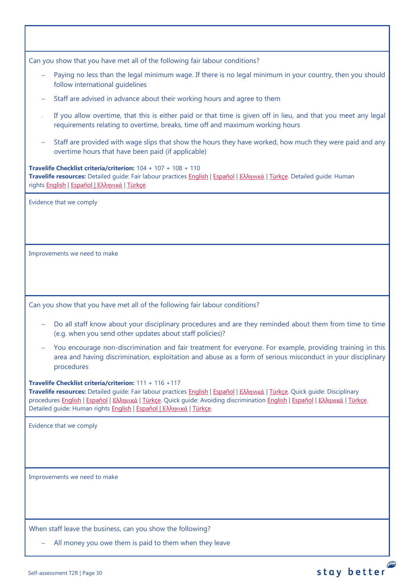| Can you show that you have met all of the following fair labour conditions?                                                                                                                                                                                                                                                                                                                   |
|-----------------------------------------------------------------------------------------------------------------------------------------------------------------------------------------------------------------------------------------------------------------------------------------------------------------------------------------------------------------------------------------------|
| Paying no less than the legal minimum wage. If there is no legal minimum in your country, then you should<br>follow international guidelines                                                                                                                                                                                                                                                  |
| Staff are advised in advance about their working hours and agree to them                                                                                                                                                                                                                                                                                                                      |
| If you allow overtime, that this is either paid or that time is given off in lieu, and that you meet any legal<br>requirements relating to overtime, breaks, time off and maximum working hours                                                                                                                                                                                               |
| Staff are provided with wage slips that show the hours they have worked, how much they were paid and any<br>overtime hours that have been paid (if applicable)                                                                                                                                                                                                                                |
| Travelife Checklist criteria/criterion: $104 + 107 + 108 + 110$<br>Travelife resources: Detailed guide: Fair labour practices English   Español   Ελληνικά   Türkçe. Detailed guide: Human<br>rights English   Español   Ελληνικά   Türkçe.                                                                                                                                                   |
| Evidence that we comply                                                                                                                                                                                                                                                                                                                                                                       |
|                                                                                                                                                                                                                                                                                                                                                                                               |
|                                                                                                                                                                                                                                                                                                                                                                                               |
| Improvements we need to make                                                                                                                                                                                                                                                                                                                                                                  |
|                                                                                                                                                                                                                                                                                                                                                                                               |
|                                                                                                                                                                                                                                                                                                                                                                                               |
|                                                                                                                                                                                                                                                                                                                                                                                               |
| Can you show that you have met all of the following fair labour conditions?                                                                                                                                                                                                                                                                                                                   |
| Do all staff know about your disciplinary procedures and are they reminded about them from time to time<br>(e.g. when you send other updates about staff policies)?                                                                                                                                                                                                                           |
| You encourage non-discrimination and fair treatment for everyone. For example, providing training in this<br>area and having discrimination, exploitation and abuse as a form of serious misconduct in your disciplinary<br>procedures                                                                                                                                                        |
| Travelife Checklist criteria/criterion: 111 + 116 +117<br>Travelife resources: Detailed guide: Fair labour practices English   Español   Ελληνικά   Türkçe. Quick guide: Disciplinary<br>procedures English   Εspañol   Ελληνικά   Türkçe. Quick guide: Avoiding discrimination English   Εspañol   Ελληνικά   Türkçe.<br>Detailed guide: Human rights English   Εspañol   Ελληνικά   Türkçe. |
| Evidence that we comply                                                                                                                                                                                                                                                                                                                                                                       |
|                                                                                                                                                                                                                                                                                                                                                                                               |
|                                                                                                                                                                                                                                                                                                                                                                                               |
| Improvements we need to make                                                                                                                                                                                                                                                                                                                                                                  |
|                                                                                                                                                                                                                                                                                                                                                                                               |
|                                                                                                                                                                                                                                                                                                                                                                                               |
|                                                                                                                                                                                                                                                                                                                                                                                               |
| When staff leave the business, can you show the following?                                                                                                                                                                                                                                                                                                                                    |
| All money you owe them is paid to them when they leave                                                                                                                                                                                                                                                                                                                                        |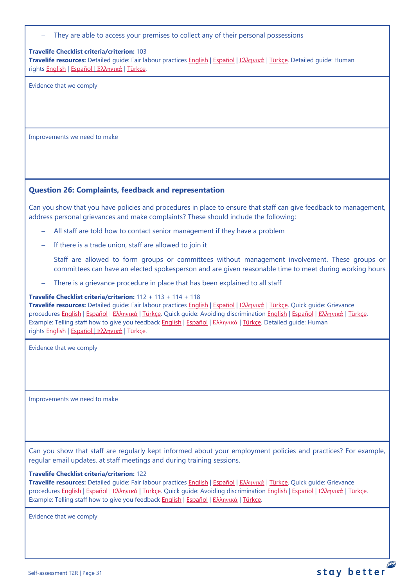They are able to access your premises to collect any of their personal possessions

### **Travelife Checklist criteria/criterion:** 103

**Travelife resources:** Detailed guide: Fair labour practices [English](https://travelifestaybetter.com/wp-content/uploads/2021/01/10-Detailed-Guide-Fair-Labour-Practices.pdf) | [Español](https://travelifestaybetter.com/wp-content/uploads/2021/01/10-ES-Detailed-Guide-Fair-Labour-Practices.pdf) | Ελλ[ηνικά](https://travelifestaybetter.com/wp-content/uploads/2021/01/10-GR-Detailed-Guide-Fair-Labour-Practices.pdf) | [Türkçe.](https://travelifestaybetter.com/wp-content/uploads/2021/01/10-Detailed-Guide-Fair-Labour-Practices-TR-Adil-Is-Gucu-Uygulamalari-Detayli-Kilavuz.pdf) Detailed guide: Human rights [English](https://travelifestaybetter.com/wp-content/uploads/2021/01/8-Detailed-Guide-Human-Rights.pdf) | [Español](https://travelifestaybetter.com/wp-content/uploads/2021/01/8-ES-Detailed-Guide-Human-Rights.pdf) | Ελλ[ηνικά](https://travelifestaybetter.com/wp-content/uploads/2021/01/8-GR-Detailed-Guide-Human-Rights.pdf) | [Türkçe.](https://travelifestaybetter.com/wp-content/uploads/2021/01/8-Detailed-Guide-Human-Rights-TR-Insan-Haklari-Detayli-Kilavuz.pdf)

Evidence that we comply

Improvements we need to make

## <span id="page-30-0"></span>**Question 26: Complaints, feedback and representation**

Can you show that you have policies and procedures in place to ensure that staff can give feedback to management, address personal grievances and make complaints? These should include the following:

- − All staff are told how to contact senior management if they have a problem
- − If there is a trade union, staff are allowed to join it
- Staff are allowed to form groups or committees without management involvement. These groups or committees can have an elected spokesperson and are given reasonable time to meet during working hours
- There is a grievance procedure in place that has been explained to all staff

### **Travelife Checklist criteria/criterion:** 112 + 113 + 114 + 118

**Travelife resources:** Detailed guide: Fair labour practices [English](https://travelifestaybetter.com/wp-content/uploads/2021/01/10-Detailed-Guide-Fair-Labour-Practices.pdf) | [Español](https://travelifestaybetter.com/wp-content/uploads/2021/01/10-ES-Detailed-Guide-Fair-Labour-Practices.pdf) | Ελλ[ηνικά](https://travelifestaybetter.com/wp-content/uploads/2021/01/10-GR-Detailed-Guide-Fair-Labour-Practices.pdf) | [Türkçe.](https://travelifestaybetter.com/wp-content/uploads/2021/01/10-Detailed-Guide-Fair-Labour-Practices-TR-Adil-Is-Gucu-Uygulamalari-Detayli-Kilavuz.pdf) Quick guide: Grievance procedures [English](https://travelifestaybetter.com/wp-content/uploads/2019/02/13-Quick-Guide-Avoiding-Workplace-Discrimination.pdf) | Εspañol | Ελλ[ηνικά](https://travelifestaybetter.com/wp-content/uploads/2020/07/38-Quick-Guide-Avoiding-Workplace-Discrimination-GR.pdf) | [Türkçe.](https://travelifestaybetter.com/wp-content/uploads/2020/08/12-Quick-Guide-Grievance-Procedures-TR-12-Hizli-Kilavuz-Sikayet-Proseduru.pdf) Quick guide: Avoiding discrimination English | Εspañol | Ελληνικά | [Türkçe.](https://travelifestaybetter.com/wp-content/uploads/2020/10/13-Quick-Guide-Avoiding-Workplace-Discrimination-TR-Isyerinde-Ayrimciligi-Onlemek-icin-Hizli-Kilavuz.pdf) Example: Telling staff how to give you feedback [English](https://travelifestaybetter.com/wp-content/uploads/2019/02/6-Example-Feedback-Instructions-for-Staff.pdf) | [Español](https://travelifestaybetter.com/wp-content/uploads/2019/02/6-ES-Example-Feedback-Instructions-for-Staff.pdf) | Ελλ[ηνικά](https://travelifestaybetter.com/wp-content/uploads/2021/01/6-GR-Example-Feedback-Instructions-for-Staff.pdf) | [Türkçe.](https://travelifestaybetter.com/wp-content/uploads/2020/08/6-Example-Feedback-Instructions-for-Staff-TR-6-Ornek-Calisan-Geri-Bildirim-Talimati.pdf) Detailed guide: Human rights [English](https://travelifestaybetter.com/wp-content/uploads/2021/01/8-Detailed-Guide-Human-Rights.pdf) | [Español](https://travelifestaybetter.com/wp-content/uploads/2021/01/8-ES-Detailed-Guide-Human-Rights.pdf) | Ελλ[ηνικά](https://travelifestaybetter.com/wp-content/uploads/2021/01/8-GR-Detailed-Guide-Human-Rights.pdf) | [Türkçe.](https://travelifestaybetter.com/wp-content/uploads/2021/01/8-Detailed-Guide-Human-Rights-TR-Insan-Haklari-Detayli-Kilavuz.pdf)

Evidence that we comply

Improvements we need to make

Can you show that staff are regularly kept informed about your employment policies and practices? For example, regular email updates, at staff meetings and during training sessions.

### **Travelife Checklist criteria/criterion:** 122

**Travelife resources:** Detailed guide: Fair labour practices [English](https://travelifestaybetter.com/wp-content/uploads/2021/01/10-Detailed-Guide-Fair-Labour-Practices.pdf) | [Español](https://travelifestaybetter.com/wp-content/uploads/2021/01/10-ES-Detailed-Guide-Fair-Labour-Practices.pdf) | Ελλ[ηνικά](https://travelifestaybetter.com/wp-content/uploads/2021/01/10-GR-Detailed-Guide-Fair-Labour-Practices.pdf) | [Türkçe.](https://travelifestaybetter.com/wp-content/uploads/2021/01/10-Detailed-Guide-Fair-Labour-Practices-TR-Adil-Is-Gucu-Uygulamalari-Detayli-Kilavuz.pdf) Quick guide: Grievance procedures [English](https://travelifestaybetter.com/wp-content/uploads/2019/02/13-Quick-Guide-Avoiding-Workplace-Discrimination.pdf) | Εspañol | Ελλ[ηνικά](https://travelifestaybetter.com/wp-content/uploads/2020/07/38-Quick-Guide-Avoiding-Workplace-Discrimination-GR.pdf) | [Türkçe.](https://travelifestaybetter.com/wp-content/uploads/2020/08/12-Quick-Guide-Grievance-Procedures-TR-12-Hizli-Kilavuz-Sikayet-Proseduru.pdf) Quick guide: Avoiding discrimination English | Εspañol | Ελληνικά | [Türkçe.](https://travelifestaybetter.com/wp-content/uploads/2020/10/13-Quick-Guide-Avoiding-Workplace-Discrimination-TR-Isyerinde-Ayrimciligi-Onlemek-icin-Hizli-Kilavuz.pdf) Example: Telling staff how to give you feedback [English](https://travelifestaybetter.com/wp-content/uploads/2019/02/6-Example-Feedback-Instructions-for-Staff.pdf) | [Español](https://travelifestaybetter.com/wp-content/uploads/2019/02/6-ES-Example-Feedback-Instructions-for-Staff.pdf) | Ελλ[ηνικά](https://travelifestaybetter.com/wp-content/uploads/2021/01/6-GR-Example-Feedback-Instructions-for-Staff.pdf) | [Türkçe.](https://travelifestaybetter.com/wp-content/uploads/2020/08/6-Example-Feedback-Instructions-for-Staff-TR-6-Ornek-Calisan-Geri-Bildirim-Talimati.pdf)